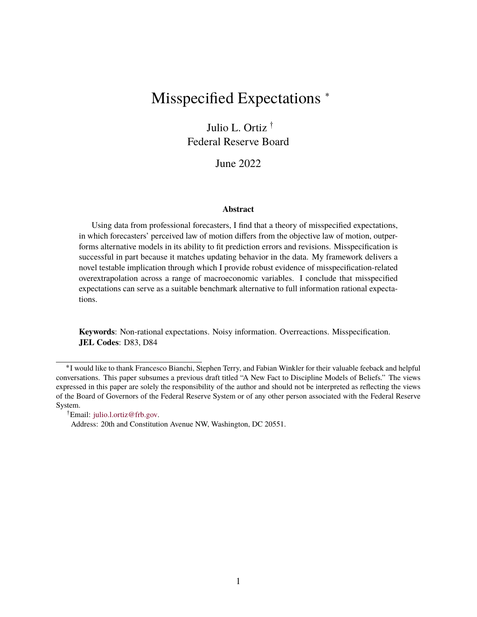# Misspecified Expectations ˚

Julio L. Ortiz<sup>†</sup> Federal Reserve Board

June 2022

#### **Abstract**

Using data from professional forecasters, I find that a theory of misspecified expectations, in which forecasters' perceived law of motion differs from the objective law of motion, outperforms alternative models in its ability to fit prediction errors and revisions. Misspecification is successful in part because it matches updating behavior in the data. My framework delivers a novel testable implication through which I provide robust evidence of misspecification-related overextrapolation across a range of macroeconomic variables. I conclude that misspecified expectations can serve as a suitable benchmark alternative to full information rational expectations.

**Keywords**: Non-rational expectations. Noisy information. Overreactions. Misspecification. **JEL Codes**: D83, D84

:Email: [julio.l.ortiz@frb.gov.](mailto:julio.l.ortiz@frb.gov)

<sup>˚</sup>I would like to thank Francesco Bianchi, Stephen Terry, and Fabian Winkler for their valuable feeback and helpful conversations. This paper subsumes a previous draft titled "A New Fact to Discipline Models of Beliefs." The views expressed in this paper are solely the responsibility of the author and should not be interpreted as reflecting the views of the Board of Governors of the Federal Reserve System or of any other person associated with the Federal Reserve System.

Address: 20th and Constitution Avenue NW, Washington, DC 20551.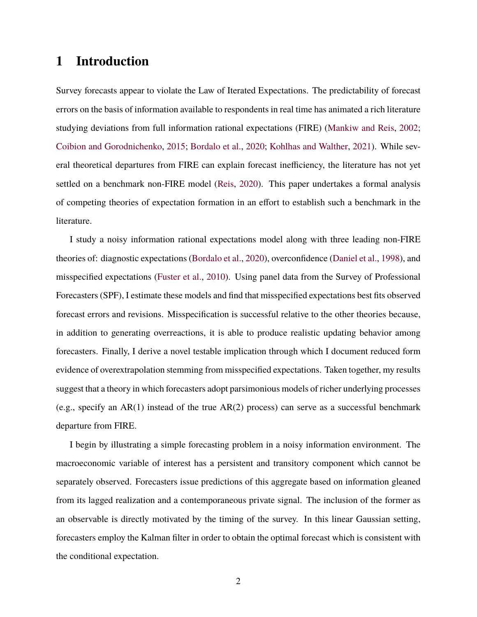## **1 Introduction**

Survey forecasts appear to violate the Law of Iterated Expectations. The predictability of forecast errors on the basis of information available to respondents in real time has animated a rich literature studying deviations from full information rational expectations (FIRE) [\(Mankiw and Reis,](#page-23-0) [2002;](#page-23-0) [Coibion and Gorodnichenko,](#page-22-0) [2015;](#page-22-0) [Bordalo et al.,](#page-22-1) [2020;](#page-22-1) [Kohlhas and Walther,](#page-23-1) [2021\)](#page-23-1). While several theoretical departures from FIRE can explain forecast inefficiency, the literature has not yet settled on a benchmark non-FIRE model [\(Reis,](#page-24-0) [2020\)](#page-24-0). This paper undertakes a formal analysis of competing theories of expectation formation in an effort to establish such a benchmark in the literature.

I study a noisy information rational expectations model along with three leading non-FIRE theories of: diagnostic expectations [\(Bordalo et al.,](#page-22-1) [2020\)](#page-22-1), overconfidence [\(Daniel et al.,](#page-23-2) [1998\)](#page-23-2), and misspecified expectations [\(Fuster et al.,](#page-23-3) [2010\)](#page-23-3). Using panel data from the Survey of Professional Forecasters (SPF), I estimate these models and find that misspecified expectations best fits observed forecast errors and revisions. Misspecification is successful relative to the other theories because, in addition to generating overreactions, it is able to produce realistic updating behavior among forecasters. Finally, I derive a novel testable implication through which I document reduced form evidence of overextrapolation stemming from misspecified expectations. Taken together, my results suggest that a theory in which forecasters adopt parsimonious models of richer underlying processes (e.g., specify an AR(1) instead of the true AR(2) process) can serve as a successful benchmark departure from FIRE.

I begin by illustrating a simple forecasting problem in a noisy information environment. The macroeconomic variable of interest has a persistent and transitory component which cannot be separately observed. Forecasters issue predictions of this aggregate based on information gleaned from its lagged realization and a contemporaneous private signal. The inclusion of the former as an observable is directly motivated by the timing of the survey. In this linear Gaussian setting, forecasters employ the Kalman filter in order to obtain the optimal forecast which is consistent with the conditional expectation.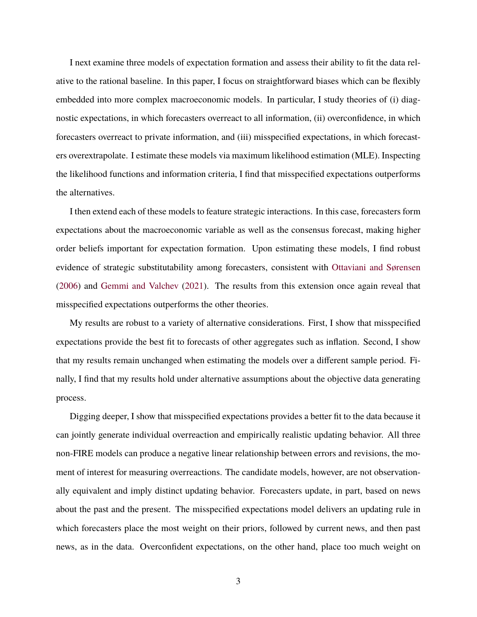I next examine three models of expectation formation and assess their ability to fit the data relative to the rational baseline. In this paper, I focus on straightforward biases which can be flexibly embedded into more complex macroeconomic models. In particular, I study theories of (i) diagnostic expectations, in which forecasters overreact to all information, (ii) overconfidence, in which forecasters overreact to private information, and (iii) misspecified expectations, in which forecasters overextrapolate. I estimate these models via maximum likelihood estimation (MLE). Inspecting the likelihood functions and information criteria, I find that misspecified expectations outperforms the alternatives.

I then extend each of these models to feature strategic interactions. In this case, forecasters form expectations about the macroeconomic variable as well as the consensus forecast, making higher order beliefs important for expectation formation. Upon estimating these models, I find robust evidence of strategic substitutability among forecasters, consistent with [Ottaviani and Sørensen](#page-24-1) [\(2006\)](#page-24-1) and [Gemmi and Valchev](#page-23-4) [\(2021\)](#page-23-4). The results from this extension once again reveal that misspecified expectations outperforms the other theories.

My results are robust to a variety of alternative considerations. First, I show that misspecified expectations provide the best fit to forecasts of other aggregates such as inflation. Second, I show that my results remain unchanged when estimating the models over a different sample period. Finally, I find that my results hold under alternative assumptions about the objective data generating process.

Digging deeper, I show that misspecified expectations provides a better fit to the data because it can jointly generate individual overreaction and empirically realistic updating behavior. All three non-FIRE models can produce a negative linear relationship between errors and revisions, the moment of interest for measuring overreactions. The candidate models, however, are not observationally equivalent and imply distinct updating behavior. Forecasters update, in part, based on news about the past and the present. The misspecified expectations model delivers an updating rule in which forecasters place the most weight on their priors, followed by current news, and then past news, as in the data. Overconfident expectations, on the other hand, place too much weight on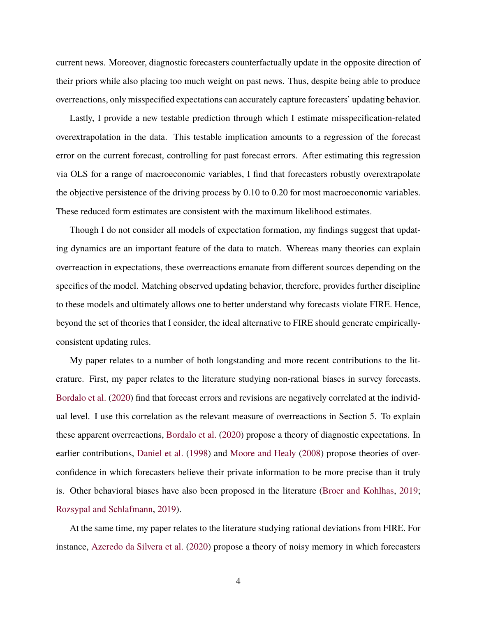current news. Moreover, diagnostic forecasters counterfactually update in the opposite direction of their priors while also placing too much weight on past news. Thus, despite being able to produce overreactions, only misspecified expectations can accurately capture forecasters' updating behavior.

Lastly, I provide a new testable prediction through which I estimate misspecification-related overextrapolation in the data. This testable implication amounts to a regression of the forecast error on the current forecast, controlling for past forecast errors. After estimating this regression via OLS for a range of macroeconomic variables, I find that forecasters robustly overextrapolate the objective persistence of the driving process by 0.10 to 0.20 for most macroeconomic variables. These reduced form estimates are consistent with the maximum likelihood estimates.

Though I do not consider all models of expectation formation, my findings suggest that updating dynamics are an important feature of the data to match. Whereas many theories can explain overreaction in expectations, these overreactions emanate from different sources depending on the specifics of the model. Matching observed updating behavior, therefore, provides further discipline to these models and ultimately allows one to better understand why forecasts violate FIRE. Hence, beyond the set of theories that I consider, the ideal alternative to FIRE should generate empiricallyconsistent updating rules.

My paper relates to a number of both longstanding and more recent contributions to the literature. First, my paper relates to the literature studying non-rational biases in survey forecasts. [Bordalo et al.](#page-22-1) [\(2020\)](#page-22-1) find that forecast errors and revisions are negatively correlated at the individual level. I use this correlation as the relevant measure of overreactions in Section 5. To explain these apparent overreactions, [Bordalo et al.](#page-22-1) [\(2020\)](#page-22-1) propose a theory of diagnostic expectations. In earlier contributions, [Daniel et al.](#page-23-2) [\(1998\)](#page-23-2) and [Moore and Healy](#page-23-5) [\(2008\)](#page-23-5) propose theories of overconfidence in which forecasters believe their private information to be more precise than it truly is. Other behavioral biases have also been proposed in the literature [\(Broer and Kohlhas,](#page-22-2) [2019;](#page-22-2) [Rozsypal and Schlafmann,](#page-24-2) [2019\)](#page-24-2).

At the same time, my paper relates to the literature studying rational deviations from FIRE. For instance, [Azeredo da Silvera et al.](#page-22-3) [\(2020\)](#page-22-3) propose a theory of noisy memory in which forecasters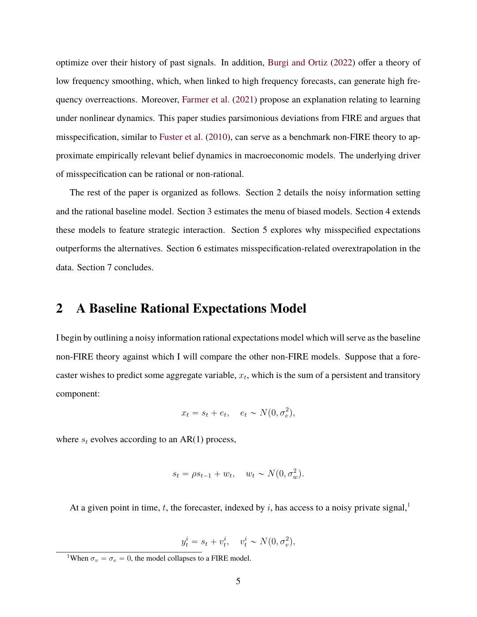optimize over their history of past signals. In addition, [Burgi and Ortiz](#page-22-4) [\(2022\)](#page-22-4) offer a theory of low frequency smoothing, which, when linked to high frequency forecasts, can generate high frequency overreactions. Moreover, [Farmer et al.](#page-23-6) [\(2021\)](#page-23-6) propose an explanation relating to learning under nonlinear dynamics. This paper studies parsimonious deviations from FIRE and argues that misspecification, similar to [Fuster et al.](#page-23-3) [\(2010\)](#page-23-3), can serve as a benchmark non-FIRE theory to approximate empirically relevant belief dynamics in macroeconomic models. The underlying driver of misspecification can be rational or non-rational.

The rest of the paper is organized as follows. Section 2 details the noisy information setting and the rational baseline model. Section 3 estimates the menu of biased models. Section 4 extends these models to feature strategic interaction. Section 5 explores why misspecified expectations outperforms the alternatives. Section 6 estimates misspecification-related overextrapolation in the data. Section 7 concludes.

### **2 A Baseline Rational Expectations Model**

I begin by outlining a noisy information rational expectations model which will serve as the baseline non-FIRE theory against which I will compare the other non-FIRE models. Suppose that a forecaster wishes to predict some aggregate variable,  $x_t$ , which is the sum of a persistent and transitory component:

$$
x_t = s_t + e_t, \quad e_t \sim N(0, \sigma_e^2),
$$

where  $s_t$  evolves according to an AR(1) process,

$$
s_t = \rho s_{t-1} + w_t, \quad w_t \sim N(0, \sigma_w^2).
$$

At a given point in time, t, the forecaster, indexed by i, has access to a noisy private signal,<sup>[1](#page-4-0)</sup>

$$
y_t^i = s_t + v_t^i, \quad v_t^i \sim N(0, \sigma_v^2),
$$

<span id="page-4-0"></span><sup>&</sup>lt;sup>1</sup>When  $\sigma_v = \sigma_e = 0$ , the model collapses to a FIRE model.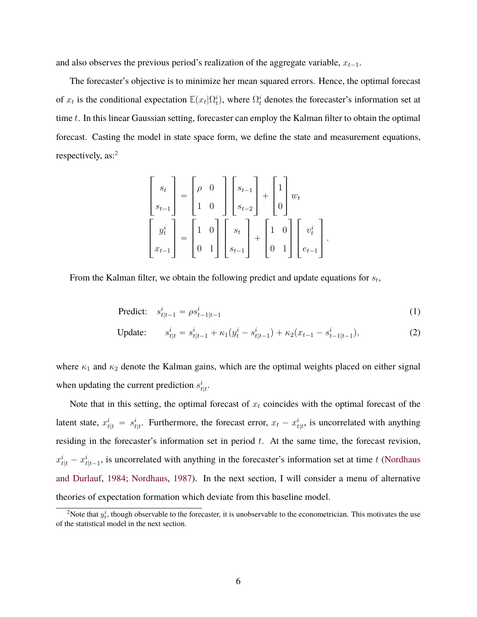and also observes the previous period's realization of the aggregate variable,  $x_{t-1}$ .

The forecaster's objective is to minimize her mean squared errors. Hence, the optimal forecast of  $x_t$  is the conditional expectation  $\mathbb{E}(x_t|\Omega_t^i)$ , where  $\Omega_t^i$  denotes the forecaster's information set at time t. In this linear Gaussian setting, forecaster can employ the Kalman filter to obtain the optimal forecast. Casting the model in state space form, we define the state and measurement equations, respectively, as:<sup>[2](#page-5-0)</sup>

<span id="page-5-1"></span>
$$
\begin{bmatrix} s_t \\ s_{t-1} \end{bmatrix} = \begin{bmatrix} \rho & 0 \\ 1 & 0 \end{bmatrix} \begin{bmatrix} s_{t-1} \\ s_{t-2} \end{bmatrix} + \begin{bmatrix} 1 \\ 0 \end{bmatrix} w_t
$$

$$
\begin{bmatrix} y_t^i \\ x_{t-1} \end{bmatrix} = \begin{bmatrix} 1 & 0 \\ 0 & 1 \end{bmatrix} \begin{bmatrix} s_t \\ s_{t-1} \end{bmatrix} + \begin{bmatrix} 1 & 0 \\ 0 & 1 \end{bmatrix} \begin{bmatrix} v_t^i \\ e_{t-1} \end{bmatrix}.
$$

From the Kalman filter, we obtain the following predict and update equations for  $s_t$ ,

<span id="page-5-2"></span>
$$
\text{Predict:} \quad s_{t|t-1}^i = \rho s_{t-1|t-1}^i \tag{1}
$$

Update: 
$$
s_{t|t}^i = s_{t|t-1}^i + \kappa_1(y_t^i - s_{t|t-1}^i) + \kappa_2(x_{t-1} - s_{t-1|t-1}^i),
$$
 (2)

where  $\kappa_1$  and  $\kappa_2$  denote the Kalman gains, which are the optimal weights placed on either signal when updating the current prediction  $s_{t|t}^i$ .

Note that in this setting, the optimal forecast of  $x_t$  coincides with the optimal forecast of the latent state,  $x_{t|t}^i = s_{t|t}^i$ . Furthermore, the forecast error,  $x_t - x_{t|t}^i$ , is uncorrelated with anything residing in the forecaster's information set in period  $t$ . At the same time, the forecast revision,  $x_{t|t}^i - x_{t|t-1}^i$ , is uncorrelated with anything in the forecaster's information set at time t [\(Nordhaus](#page-24-3) [and Durlauf,](#page-24-3) [1984;](#page-24-3) [Nordhaus,](#page-24-4) [1987\)](#page-24-4). In the next section, I will consider a menu of alternative theories of expectation formation which deviate from this baseline model.

<span id="page-5-0"></span><sup>&</sup>lt;sup>2</sup>Note that  $y_t^i$ , though observable to the forecaster, it is unobservable to the econometrician. This motivates the use of the statistical model in the next section.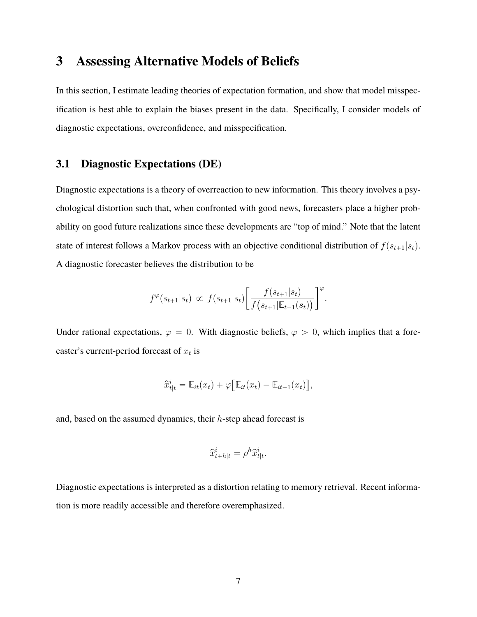### **3 Assessing Alternative Models of Beliefs**

In this section, I estimate leading theories of expectation formation, and show that model misspecification is best able to explain the biases present in the data. Specifically, I consider models of diagnostic expectations, overconfidence, and misspecification.

### **3.1 Diagnostic Expectations (DE)**

Diagnostic expectations is a theory of overreaction to new information. This theory involves a psychological distortion such that, when confronted with good news, forecasters place a higher probability on good future realizations since these developments are "top of mind." Note that the latent state of interest follows a Markov process with an objective conditional distribution of  $f(s_{t+1}|s_t)$ . A diagnostic forecaster believes the distribution to be

$$
f^{\varphi}(s_{t+1}|s_t) \propto f(s_{t+1}|s_t) \left[ \frac{f(s_{t+1}|s_t)}{f(s_{t+1}|\mathbb{E}_{t-1}(s_t))} \right]^{\varphi}.
$$

Under rational expectations,  $\varphi = 0$ . With diagnostic beliefs,  $\varphi > 0$ , which implies that a forecaster's current-period forecast of  $x_t$  is

$$
\widehat{x}_{t|t}^i = \mathbb{E}_{it}(x_t) + \varphi \big[ \mathbb{E}_{it}(x_t) - \mathbb{E}_{it-1}(x_t) \big],
$$

and, based on the assumed dynamics, their h-step ahead forecast is

$$
\widehat{x}_{t+h|t}^i = \rho^h \widehat{x}_{t|t}^i.
$$

Diagnostic expectations is interpreted as a distortion relating to memory retrieval. Recent information is more readily accessible and therefore overemphasized.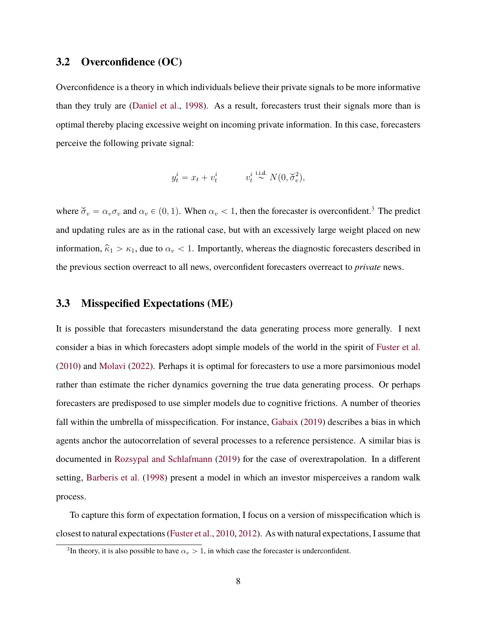### **3.2 Overconfidence (OC)**

Overconfidence is a theory in which individuals believe their private signals to be more informative than they truly are [\(Daniel et al.,](#page-23-2) [1998\)](#page-23-2). As a result, forecasters trust their signals more than is optimal thereby placing excessive weight on incoming private information. In this case, forecasters perceive the following private signal:

$$
y_t^i = x_t + v_t^i \qquad v_t^i \stackrel{\text{i.i.d.}}{\sim} N(0, \check{\sigma}_v^2),
$$

where  $\check{\sigma}_v = \alpha_v \sigma_v$  and  $\alpha_v \in (0, 1)$ . When  $\alpha_v < 1$ , then the forecaster is overconfident.<sup>[3](#page-7-0)</sup> The predict and updating rules are as in the rational case, but with an excessively large weight placed on new information,  $\hat{\kappa}_1 > \kappa_1$ , due to  $\alpha_v < 1$ . Importantly, whereas the diagnostic forecasters described in the previous section overreact to all news, overconfident forecasters overreact to *private* news.

#### **3.3 Misspecified Expectations (ME)**

It is possible that forecasters misunderstand the data generating process more generally. I next consider a bias in which forecasters adopt simple models of the world in the spirit of [Fuster et al.](#page-23-3) [\(2010\)](#page-23-3) and [Molavi](#page-23-7) [\(2022\)](#page-23-7). Perhaps it is optimal for forecasters to use a more parsimonious model rather than estimate the richer dynamics governing the true data generating process. Or perhaps forecasters are predisposed to use simpler models due to cognitive frictions. A number of theories fall within the umbrella of misspecification. For instance, [Gabaix](#page-23-8) [\(2019\)](#page-23-8) describes a bias in which agents anchor the autocorrelation of several processes to a reference persistence. A similar bias is documented in [Rozsypal and Schlafmann](#page-24-2) [\(2019\)](#page-24-2) for the case of overextrapolation. In a different setting, [Barberis et al.](#page-22-5) [\(1998\)](#page-22-5) present a model in which an investor misperceives a random walk process.

To capture this form of expectation formation, I focus on a version of misspecification which is closest to natural expectations [\(Fuster et al.,](#page-23-3) [2010,](#page-23-3) [2012\)](#page-23-9). As with natural expectations, I assume that

<span id="page-7-0"></span><sup>&</sup>lt;sup>3</sup>In theory, it is also possible to have  $\alpha_v > 1$ , in which case the forecaster is underconfident.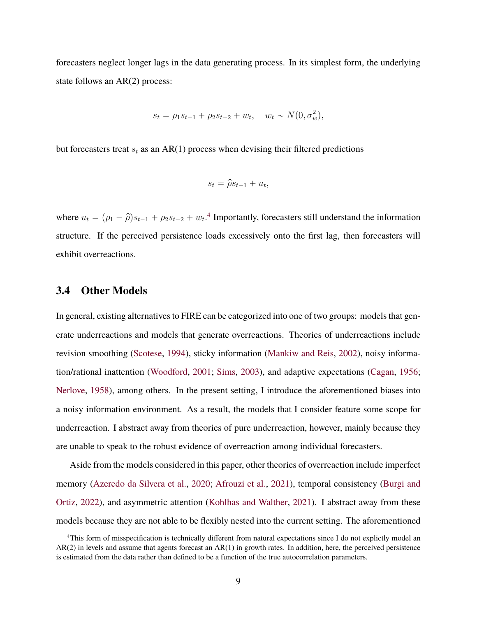forecasters neglect longer lags in the data generating process. In its simplest form, the underlying state follows an AR(2) process:

$$
s_t = \rho_1 s_{t-1} + \rho_2 s_{t-2} + w_t, \quad w_t \sim N(0, \sigma_w^2),
$$

but forecasters treat  $s_t$  as an AR(1) process when devising their filtered predictions

$$
s_t = \hat{\rho}s_{t-1} + u_t,
$$

where  $u_t = (\rho_1 - \hat{\rho})s_{t-1} + \rho_2 s_{t-2} + w_t$ .<sup>[4](#page-8-0)</sup> Importantly, forecasters still understand the information structure. If the perceived persistence loads excessively onto the first lag, then forecasters will exhibit overreactions.

#### **3.4 Other Models**

In general, existing alternatives to FIRE can be categorized into one of two groups: models that generate underreactions and models that generate overreactions. Theories of underreactions include revision smoothing [\(Scotese,](#page-24-5) [1994\)](#page-24-5), sticky information [\(Mankiw and Reis,](#page-23-0) [2002\)](#page-23-0), noisy information/rational inattention [\(Woodford,](#page-24-6) [2001;](#page-24-6) [Sims,](#page-24-7) [2003\)](#page-24-7), and adaptive expectations [\(Cagan,](#page-22-6) [1956;](#page-22-6) [Nerlove,](#page-24-8) [1958\)](#page-24-8), among others. In the present setting, I introduce the aforementioned biases into a noisy information environment. As a result, the models that I consider feature some scope for underreaction. I abstract away from theories of pure underreaction, however, mainly because they are unable to speak to the robust evidence of overreaction among individual forecasters.

Aside from the models considered in this paper, other theories of overreaction include imperfect memory [\(Azeredo da Silvera et al.,](#page-22-3) [2020;](#page-22-3) [Afrouzi et al.,](#page-22-7) [2021\)](#page-22-7), temporal consistency [\(Burgi and](#page-22-4) [Ortiz,](#page-22-4) [2022\)](#page-22-4), and asymmetric attention [\(Kohlhas and Walther,](#page-23-1) [2021\)](#page-23-1). I abstract away from these models because they are not able to be flexibly nested into the current setting. The aforementioned

<span id="page-8-0"></span><sup>4</sup>This form of misspecification is technically different from natural expectations since I do not explictly model an AR(2) in levels and assume that agents forecast an AR(1) in growth rates. In addition, here, the perceived persistence is estimated from the data rather than defined to be a function of the true autocorrelation parameters.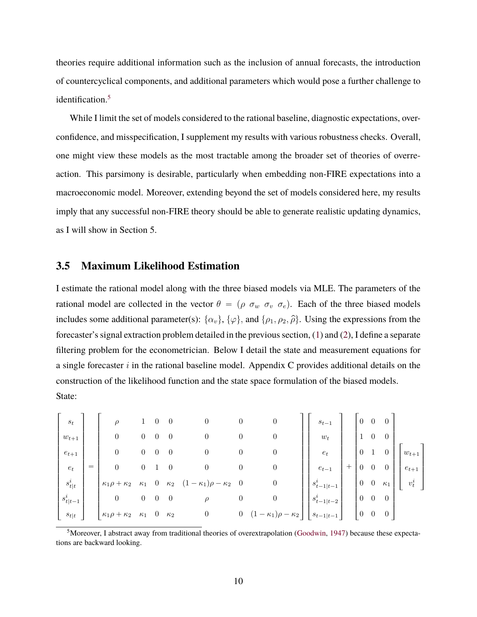theories require additional information such as the inclusion of annual forecasts, the introduction of countercyclical components, and additional parameters which would pose a further challenge to identification.<sup>[5](#page-9-0)</sup>

While I limit the set of models considered to the rational baseline, diagnostic expectations, overconfidence, and misspecification, I supplement my results with various robustness checks. Overall, one might view these models as the most tractable among the broader set of theories of overreaction. This parsimony is desirable, particularly when embedding non-FIRE expectations into a macroeconomic model. Moreover, extending beyond the set of models considered here, my results imply that any successful non-FIRE theory should be able to generate realistic updating dynamics, as I will show in Section 5.

#### **3.5 Maximum Likelihood Estimation**

I estimate the rational model along with the three biased models via MLE. The parameters of the rational model are collected in the vector  $\theta = (\rho \sigma_w \sigma_v \sigma_e)$ . Each of the three biased models includes some additional parameter(s):  $\{\alpha_v\}$ ,  $\{\varphi\}$ , and  $\{\rho_1, \rho_2, \hat{\rho}\}$ . Using the expressions from the forecaster's signal extraction problem detailed in the previous section, [\(1\)](#page-5-1) and [\(2\)](#page-5-2), I define a separate filtering problem for the econometrician. Below I detail the state and measurement equations for a single forecaster  $i$  in the rational baseline model. Appendix C provides additional details on the construction of the likelihood function and the state space formulation of the biased models. State:

| $s_t$              |     | $\rho$                     |                  |                                  | $\theta$       | $\boldsymbol{0}$                | $\theta$         | $\boldsymbol{0}$                       | $s_{t-1}$          | $\cup$         |                  | $\theta$       |           |  |
|--------------------|-----|----------------------------|------------------|----------------------------------|----------------|---------------------------------|------------------|----------------------------------------|--------------------|----------------|------------------|----------------|-----------|--|
| $w_{t+1}$          |     | $\boldsymbol{0}$           | 0                |                                  | $\overline{0}$ | $\boldsymbol{0}$                | $\theta$         | 0                                      | $\boldsymbol{w}_t$ |                | 0                | $\overline{0}$ |           |  |
| $e_{t+1}$          |     | $\boldsymbol{0}$           | $\overline{0}$   | $\theta$                         | $\overline{0}$ | $\boldsymbol{0}$                | $\theta$         | 0                                      | $e_t$              | $\overline{0}$ |                  | $\cup$         | $w_{t+1}$ |  |
| $\boldsymbol{e}_t$ | $=$ | 0                          | $\overline{0}$   |                                  | $\theta$       | $\boldsymbol{0}$                | $\theta$         | $\boldsymbol{0}$                       | $e_{t-1}$          | $\overline{0}$ | $\boldsymbol{0}$ | 0              | $e_{t+1}$ |  |
| $s^i_{t\mid t}$    |     | $\kappa_1 \rho + \kappa_2$ | $\kappa_1$       |                                  | $\kappa_2$     | $(1 - \kappa_1)\rho - \kappa_2$ | $\theta$         | 0                                      | $s_{t-1 t-1}^{i}$  | $\overline{0}$ | $\boldsymbol{0}$ | $\kappa_1$     | $v_t^i$   |  |
| $s_{t\mid t-1}^i$  |     | $\boldsymbol{0}$           | $\boldsymbol{0}$ | $\begin{array}{c} 0 \end{array}$ | $\overline{0}$ | $\rho$                          | $\boldsymbol{0}$ | 0                                      | $s_{t-1 t-2}^{i}$  | $\overline{0}$ | $\overline{0}$   | $\overline{0}$ |           |  |
| $s_{t\mid t}$      |     | $\kappa_1\rho+\kappa_2$    | $\kappa_1$ 0     |                                  | $\kappa_2$     | $\boldsymbol{0}$                | $\boldsymbol{0}$ | $(1-\kappa_1)\rho$<br>$= \kappa_{2}$ , | $s_{t-1 t-1}$      | $\overline{0}$ | $\overline{0}$   | $\overline{0}$ |           |  |

<span id="page-9-0"></span><sup>5</sup>Moreover, I abstract away from traditional theories of overextrapolation [\(Goodwin,](#page-23-10) [1947\)](#page-23-10) because these expectations are backward looking.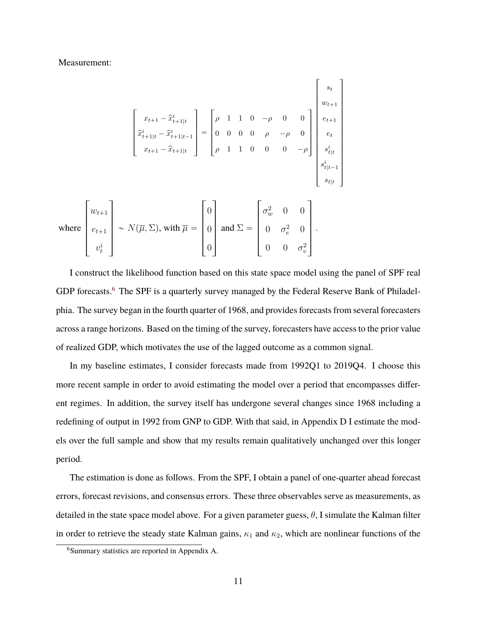Measurement:

$$
\begin{bmatrix}\nx_{t+1} - \hat{x}_{t+1|t}^{i} \\
\hat{x}_{t+1|t}^{i} - \hat{x}_{t+1|t-1}^{i} \\
x_{t+1} - \hat{x}_{t+1|t}^{i}\n\end{bmatrix} = \begin{bmatrix}\n\rho & 1 & 1 & 0 & -\rho & 0 & 0 \\
0 & 0 & 0 & 0 & \rho & -\rho & 0 \\
\rho & 1 & 1 & 0 & 0 & 0 & -\rho\n\end{bmatrix} \begin{bmatrix}\ns_t \\
e_{t+1} \\
e_t \\
s_{t|t}^i \\
s_{t|t-1}^i \\
s_{t|t-1}^i \\
s_{t|t}\n\end{bmatrix}
$$
\nwhere\n
$$
\begin{bmatrix}\nw_{t+1} \\
e_{t+1} \\
\vdots \\
e_{t+1} \\
v_t^i\n\end{bmatrix} \sim N(\overline{\mu}, \Sigma), \text{ with } \overline{\mu} = \begin{bmatrix}\n0 \\
0 \\
0 \\
0\n\end{bmatrix} \text{ and } \Sigma = \begin{bmatrix}\n\sigma_w^2 & 0 & 0 \\
0 & \sigma_e^2 & 0 \\
0 & \sigma_e^2 & 0 \\
0 & 0 & \sigma_v^2\n\end{bmatrix}.
$$

I construct the likelihood function based on this state space model using the panel of SPF real GDP forecasts.<sup>[6](#page-10-0)</sup> The SPF is a quarterly survey managed by the Federal Reserve Bank of Philadelphia. The survey began in the fourth quarter of 1968, and provides forecasts from several forecasters across a range horizons. Based on the timing of the survey, forecasters have access to the prior value of realized GDP, which motivates the use of the lagged outcome as a common signal.

In my baseline estimates, I consider forecasts made from 1992Q1 to 2019Q4. I choose this more recent sample in order to avoid estimating the model over a period that encompasses different regimes. In addition, the survey itself has undergone several changes since 1968 including a redefining of output in 1992 from GNP to GDP. With that said, in Appendix D I estimate the models over the full sample and show that my results remain qualitatively unchanged over this longer period.

The estimation is done as follows. From the SPF, I obtain a panel of one-quarter ahead forecast errors, forecast revisions, and consensus errors. These three observables serve as measurements, as detailed in the state space model above. For a given parameter guess,  $\theta$ , I simulate the Kalman filter in order to retrieve the steady state Kalman gains,  $\kappa_1$  and  $\kappa_2$ , which are nonlinear functions of the

<span id="page-10-0"></span><sup>6</sup>Summary statistics are reported in Appendix A.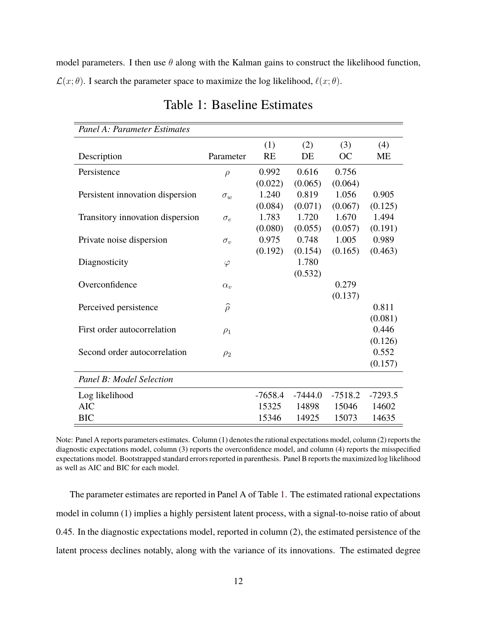<span id="page-11-0"></span>model parameters. I then use  $\theta$  along with the Kalman gains to construct the likelihood function,  $\mathcal{L}(x; \theta)$ . I search the parameter space to maximize the log likelihood,  $\ell(x; \theta)$ .

| Panel A: Parameter Estimates     |                  |           |           |           |           |
|----------------------------------|------------------|-----------|-----------|-----------|-----------|
|                                  |                  | (1)       | (2)       | (3)       | (4)       |
| Description                      | Parameter        | <b>RE</b> | DE        | OC        | <b>ME</b> |
| Persistence                      | $\rho$           | 0.992     | 0.616     | 0.756     |           |
|                                  |                  | (0.022)   | (0.065)   | (0.064)   |           |
| Persistent innovation dispersion | $\sigma_w$       | 1.240     | 0.819     | 1.056     | 0.905     |
|                                  |                  | (0.084)   | (0.071)   | (0.067)   | (0.125)   |
| Transitory innovation dispersion | $\sigma_e$       | 1.783     | 1.720     | 1.670     | 1.494     |
|                                  |                  | (0.080)   | (0.055)   | (0.057)   | (0.191)   |
| Private noise dispersion         | $\sigma_v$       | 0.975     | 0.748     | 1.005     | 0.989     |
|                                  |                  | (0.192)   | (0.154)   | (0.165)   | (0.463)   |
| Diagnosticity                    | $\varphi$        |           | 1.780     |           |           |
|                                  |                  |           | (0.532)   |           |           |
| Overconfidence                   | $\alpha_{v}$     |           |           | 0.279     |           |
|                                  |                  |           |           | (0.137)   |           |
| Perceived persistence            | $\widehat{\rho}$ |           |           |           | 0.811     |
|                                  |                  |           |           |           | (0.081)   |
| First order autocorrelation      | $\rho_1$         |           |           |           | 0.446     |
|                                  |                  |           |           |           | (0.126)   |
| Second order autocorrelation     | $\rho_2$         |           |           |           | 0.552     |
|                                  |                  |           |           |           | (0.157)   |
| Panel B: Model Selection         |                  |           |           |           |           |
| Log likelihood                   |                  | $-7658.4$ | $-7444.0$ | $-7518.2$ | $-7293.5$ |
| <b>AIC</b>                       |                  | 15325     | 14898     | 15046     | 14602     |
| <b>BIC</b>                       |                  | 15346     | 14925     | 15073     | 14635     |

Table 1: Baseline Estimates

Note: Panel A reports parameters estimates. Column (1) denotes the rational expectations model, column (2) reports the diagnostic expectations model, column (3) reports the overconfidence model, and column (4) reports the misspecified expectations model. Bootstrapped standard errors reported in parenthesis. Panel B reports the maximized log likelihood as well as AIC and BIC for each model.

The parameter estimates are reported in Panel A of Table [1.](#page-11-0) The estimated rational expectations model in column (1) implies a highly persistent latent process, with a signal-to-noise ratio of about 0.45. In the diagnostic expectations model, reported in column (2), the estimated persistence of the latent process declines notably, along with the variance of its innovations. The estimated degree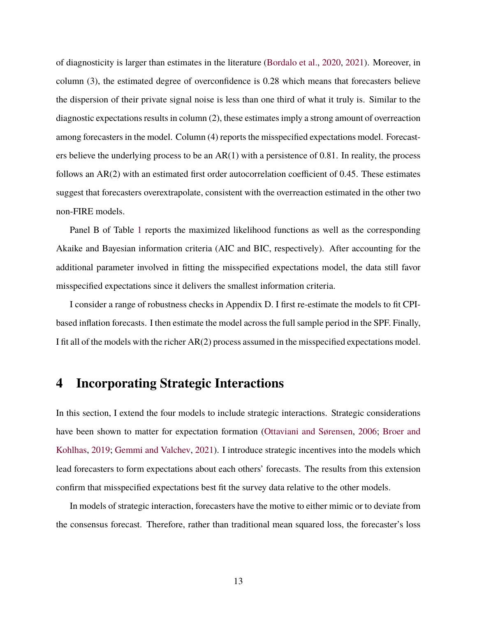of diagnosticity is larger than estimates in the literature [\(Bordalo et al.,](#page-22-1) [2020,](#page-22-1) [2021\)](#page-22-8). Moreover, in column (3), the estimated degree of overconfidence is 0.28 which means that forecasters believe the dispersion of their private signal noise is less than one third of what it truly is. Similar to the diagnostic expectations results in column (2), these estimates imply a strong amount of overreaction among forecasters in the model. Column (4) reports the misspecified expectations model. Forecasters believe the underlying process to be an  $AR(1)$  with a persistence of 0.81. In reality, the process follows an AR(2) with an estimated first order autocorrelation coefficient of 0.45. These estimates suggest that forecasters overextrapolate, consistent with the overreaction estimated in the other two non-FIRE models.

Panel B of Table [1](#page-11-0) reports the maximized likelihood functions as well as the corresponding Akaike and Bayesian information criteria (AIC and BIC, respectively). After accounting for the additional parameter involved in fitting the misspecified expectations model, the data still favor misspecified expectations since it delivers the smallest information criteria.

I consider a range of robustness checks in Appendix D. I first re-estimate the models to fit CPIbased inflation forecasts. I then estimate the model across the full sample period in the SPF. Finally, I fit all of the models with the richer AR(2) process assumed in the misspecified expectations model.

## **4 Incorporating Strategic Interactions**

In this section, I extend the four models to include strategic interactions. Strategic considerations have been shown to matter for expectation formation [\(Ottaviani and Sørensen,](#page-24-1) [2006;](#page-24-1) [Broer and](#page-22-2) [Kohlhas,](#page-22-2) [2019;](#page-22-2) [Gemmi and Valchev,](#page-23-4) [2021\)](#page-23-4). I introduce strategic incentives into the models which lead forecasters to form expectations about each others' forecasts. The results from this extension confirm that misspecified expectations best fit the survey data relative to the other models.

In models of strategic interaction, forecasters have the motive to either mimic or to deviate from the consensus forecast. Therefore, rather than traditional mean squared loss, the forecaster's loss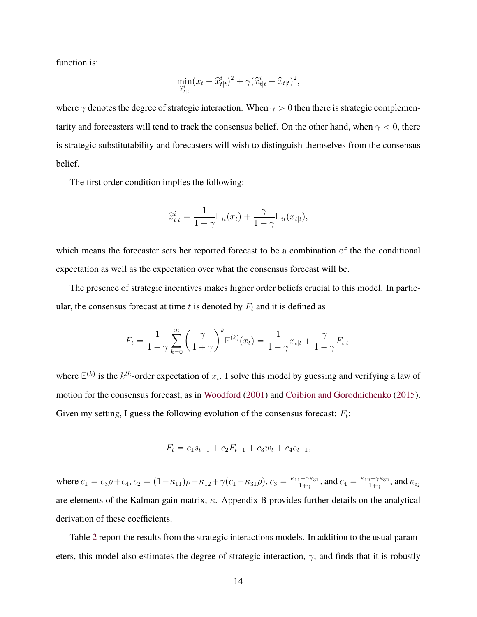function is:

$$
\min_{\hat{x}^i_{t|t}} (x_t - \hat{x}^i_{t|t})^2 + \gamma (\hat{x}^i_{t|t} - \hat{x}_{t|t})^2,
$$

where  $\gamma$  denotes the degree of strategic interaction. When  $\gamma > 0$  then there is strategic complementarity and forecasters will tend to track the consensus belief. On the other hand, when  $\gamma < 0$ , there is strategic substitutability and forecasters will wish to distinguish themselves from the consensus belief.

The first order condition implies the following:

$$
\widehat{x}_{t|t}^i = \frac{1}{1+\gamma} \mathbb{E}_{it}(x_t) + \frac{\gamma}{1+\gamma} \mathbb{E}_{it}(x_{t|t}),
$$

which means the forecaster sets her reported forecast to be a combination of the the conditional expectation as well as the expectation over what the consensus forecast will be.

The presence of strategic incentives makes higher order beliefs crucial to this model. In particular, the consensus forecast at time t is denoted by  $F_t$  and it is defined as

$$
F_t = \frac{1}{1+\gamma} \sum_{k=0}^{\infty} \left(\frac{\gamma}{1+\gamma}\right)^k \mathbb{E}^{(k)}(x_t) = \frac{1}{1+\gamma} x_{t|t} + \frac{\gamma}{1+\gamma} F_{t|t}.
$$

where  $\mathbb{E}^{(k)}$  is the  $k^{th}$ -order expectation of  $x_t$ . I solve this model by guessing and verifying a law of motion for the consensus forecast, as in [Woodford](#page-24-6) [\(2001\)](#page-24-6) and [Coibion and Gorodnichenko](#page-22-0) [\(2015\)](#page-22-0). Given my setting, I guess the following evolution of the consensus forecast:  $F_t$ :

$$
F_t = c_1 s_{t-1} + c_2 F_{t-1} + c_3 w_t + c_4 e_{t-1},
$$

where  $c_1 = c_3 \rho + c_4$ ,  $c_2 = (1 - \kappa_{11})\rho - \kappa_{12} + \gamma(c_1 - \kappa_{31}\rho)$ ,  $c_3 = \frac{\kappa_{11} + \gamma \kappa_{31}}{1 + \gamma}$  $\frac{1+\gamma\kappa_{31}}{1+\gamma}$ , and  $c_4 = \frac{\kappa_{12}+\gamma\kappa_{32}}{1+\gamma}$  $\frac{\alpha_{1}+\gamma\kappa_{32}}{1+\gamma}$ , and  $\kappa_{ij}$ are elements of the Kalman gain matrix,  $\kappa$ . Appendix B provides further details on the analytical derivation of these coefficients.

Table [2](#page-14-0) report the results from the strategic interactions models. In addition to the usual parameters, this model also estimates the degree of strategic interaction,  $\gamma$ , and finds that it is robustly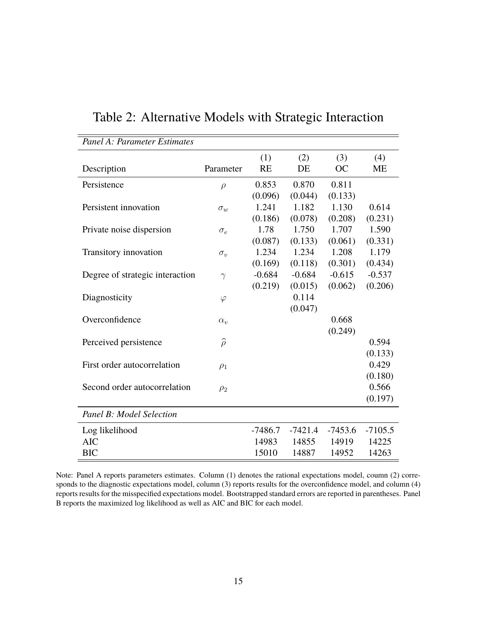| Panel A: Parameter Estimates    |                  |           |           |           |           |
|---------------------------------|------------------|-----------|-----------|-----------|-----------|
|                                 |                  | (1)       | (2)       | (3)       | (4)       |
| Description                     | Parameter        | <b>RE</b> | DE        | OC        | МE        |
| Persistence                     | $\rho$           | 0.853     | 0.870     | 0.811     |           |
|                                 |                  | (0.096)   | (0.044)   | (0.133)   |           |
| Persistent innovation           | $\sigma_w$       | 1.241     | 1.182     | 1.130     | 0.614     |
|                                 |                  | (0.186)   | (0.078)   | (0.208)   | (0.231)   |
| Private noise dispersion        | $\sigma_e$       | 1.78      | 1.750     | 1.707     | 1.590     |
|                                 |                  | (0.087)   | (0.133)   | (0.061)   | (0.331)   |
| Transitory innovation           | $\sigma_v$       | 1.234     | 1.234     | 1.208     | 1.179     |
|                                 |                  | (0.169)   | (0.118)   | (0.301)   | (0.434)   |
| Degree of strategic interaction | $\gamma$         | $-0.684$  | $-0.684$  | $-0.615$  | $-0.537$  |
|                                 |                  | (0.219)   | (0.015)   | (0.062)   | (0.206)   |
| Diagnosticity                   | $\varphi$        |           | 0.114     |           |           |
|                                 |                  |           | (0.047)   |           |           |
| Overconfidence                  | $\alpha_{v}$     |           |           | 0.668     |           |
|                                 |                  |           |           | (0.249)   |           |
| Perceived persistence           | $\widehat{\rho}$ |           |           |           | 0.594     |
|                                 |                  |           |           |           | (0.133)   |
| First order autocorrelation     | $\rho_1$         |           |           |           | 0.429     |
|                                 |                  |           |           |           | (0.180)   |
| Second order autocorrelation    | $\rho_2$         |           |           |           | 0.566     |
|                                 |                  |           |           |           | (0.197)   |
| Panel B: Model Selection        |                  |           |           |           |           |
| Log likelihood                  |                  | $-7486.7$ | $-7421.4$ | $-7453.6$ | $-7105.5$ |
| <b>AIC</b>                      |                  | 14983     | 14855     | 14919     | 14225     |
| <b>BIC</b>                      |                  | 15010     | 14887     | 14952     | 14263     |

<span id="page-14-0"></span>Table 2: Alternative Models with Strategic Interaction

Note: Panel A reports parameters estimates. Column (1) denotes the rational expectations model, coumn (2) corresponds to the diagnostic expectations model, column (3) reports results for the overconfidence model, and column (4) reports results for the misspecified expectations model. Bootstrapped standard errors are reported in parentheses. Panel B reports the maximized log likelihood as well as AIC and BIC for each model.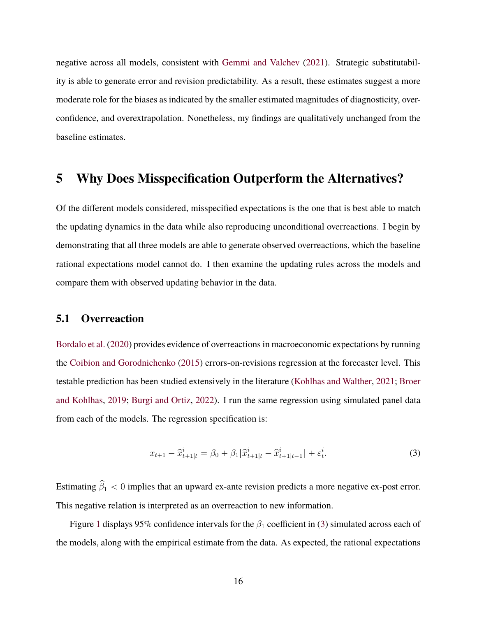negative across all models, consistent with [Gemmi and Valchev](#page-23-4) [\(2021\)](#page-23-4). Strategic substitutability is able to generate error and revision predictability. As a result, these estimates suggest a more moderate role for the biases as indicated by the smaller estimated magnitudes of diagnosticity, overconfidence, and overextrapolation. Nonetheless, my findings are qualitatively unchanged from the baseline estimates.

### **5 Why Does Misspecification Outperform the Alternatives?**

Of the different models considered, misspecified expectations is the one that is best able to match the updating dynamics in the data while also reproducing unconditional overreactions. I begin by demonstrating that all three models are able to generate observed overreactions, which the baseline rational expectations model cannot do. I then examine the updating rules across the models and compare them with observed updating behavior in the data.

#### **5.1 Overreaction**

[Bordalo et al.](#page-22-1) [\(2020\)](#page-22-1) provides evidence of overreactions in macroeconomic expectations by running the [Coibion and Gorodnichenko](#page-22-0) [\(2015\)](#page-22-0) errors-on-revisions regression at the forecaster level. This testable prediction has been studied extensively in the literature [\(Kohlhas and Walther,](#page-23-1) [2021;](#page-23-1) [Broer](#page-22-2) [and Kohlhas,](#page-22-2) [2019;](#page-22-2) [Burgi and Ortiz,](#page-22-4) [2022\)](#page-22-4). I run the same regression using simulated panel data from each of the models. The regression specification is:

<span id="page-15-0"></span>
$$
x_{t+1} - \hat{x}_{t+1|t}^i = \beta_0 + \beta_1 [\hat{x}_{t+1|t}^i - \hat{x}_{t+1|t-1}^i] + \varepsilon_t^i.
$$
 (3)

Estimating  $\hat{\beta}_1 < 0$  implies that an upward ex-ante revision predicts a more negative ex-post error. This negative relation is interpreted as an overreaction to new information.

Figure [1](#page-16-0) displays 95% confidence intervals for the  $\beta_1$  coefficient in [\(3\)](#page-15-0) simulated across each of the models, along with the empirical estimate from the data. As expected, the rational expectations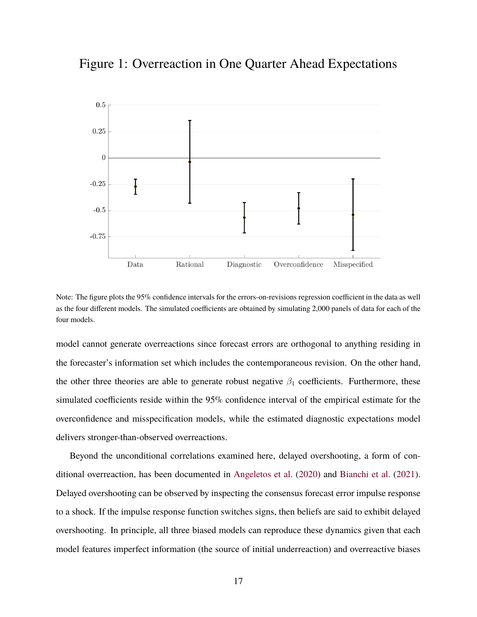<span id="page-16-0"></span>



Note: The figure plots the 95% confidence intervals for the errors-on-revisions regression coefficient in the data as well as the four different models. The simulated coefficients are obtained by simulating 2,000 panels of data for each of the four models.

model cannot generate overreactions since forecast errors are orthogonal to anything residing in the forecaster's information set which includes the contemporaneous revision. On the other hand, the other three theories are able to generate robust negative  $\beta_1$  coefficients. Furthermore, these simulated coefficients reside within the 95% confidence interval of the empirical estimate for the overconfidence and misspecification models, while the estimated diagnostic expectations model delivers stronger-than-observed overreactions.

Beyond the unconditional correlations examined here, delayed overshooting, a form of conditional overreaction, has been documented in [Angeletos et al.](#page-22-9) [\(2020\)](#page-22-9) and [Bianchi et al.](#page-22-10) [\(2021\)](#page-22-10). Delayed overshooting can be observed by inspecting the consensus forecast error impulse response to a shock. If the impulse response function switches signs, then beliefs are said to exhibit delayed overshooting. In principle, all three biased models can reproduce these dynamics given that each model features imperfect information (the source of initial underreaction) and overreactive biases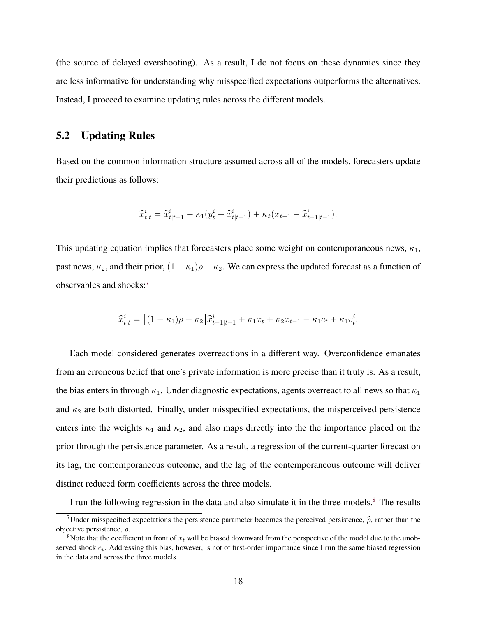(the source of delayed overshooting). As a result, I do not focus on these dynamics since they are less informative for understanding why misspecified expectations outperforms the alternatives. Instead, I proceed to examine updating rules across the different models.

### **5.2 Updating Rules**

Based on the common information structure assumed across all of the models, forecasters update their predictions as follows:

$$
\widehat{x}^i_{t|t} = \widehat{x}^i_{t|t-1} + \kappa_1(y^i_t - \widehat{x}^i_{t|t-1}) + \kappa_2(x_{t-1} - \widehat{x}^i_{t-1|t-1}).
$$

This updating equation implies that forecasters place some weight on contemporaneous news,  $\kappa_1$ , past news,  $\kappa_2$ , and their prior,  $(1 - \kappa_1)\rho - \kappa_2$ . We can express the updated forecast as a function of observables and shocks:[7](#page-17-0)

$$
\hat{x}_{t|t}^i = [(1 - \kappa_1)\rho - \kappa_2] \hat{x}_{t-1|t-1}^i + \kappa_1 x_t + \kappa_2 x_{t-1} - \kappa_1 e_t + \kappa_1 v_t^i,
$$

Each model considered generates overreactions in a different way. Overconfidence emanates from an erroneous belief that one's private information is more precise than it truly is. As a result, the bias enters in through  $\kappa_1$ . Under diagnostic expectations, agents overreact to all news so that  $\kappa_1$ and  $\kappa_2$  are both distorted. Finally, under misspecified expectations, the misperceived persistence enters into the weights  $\kappa_1$  and  $\kappa_2$ , and also maps directly into the the importance placed on the prior through the persistence parameter. As a result, a regression of the current-quarter forecast on its lag, the contemporaneous outcome, and the lag of the contemporaneous outcome will deliver distinct reduced form coefficients across the three models.

I run the following regression in the data and also simulate it in the three models.<sup>[8](#page-17-1)</sup> The results

<span id="page-17-0"></span><sup>&</sup>lt;sup>7</sup>Under misspecified expectations the persistence parameter becomes the perceived persistence,  $\hat{\rho}$ , rather than the objective persistence,  $\rho$ .

<span id="page-17-1"></span><sup>&</sup>lt;sup>8</sup>Note that the coefficient in front of  $x_t$  will be biased downward from the perspective of the model due to the unobserved shock  $e_t$ . Addressing this bias, however, is not of first-order importance since I run the same biased regression in the data and across the three models.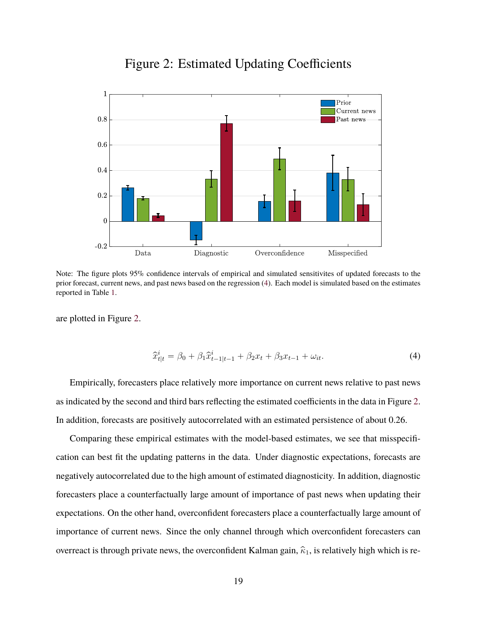<span id="page-18-1"></span>

### Figure 2: Estimated Updating Coefficients

Note: The figure plots 95% confidence intervals of empirical and simulated sensitivites of updated forecasts to the prior forecast, current news, and past news based on the regression [\(4\)](#page-18-0). Each model is simulated based on the estimates reported in Table [1.](#page-11-0)

are plotted in Figure [2.](#page-18-1)

<span id="page-18-0"></span>
$$
\hat{x}_{t|t}^i = \beta_0 + \beta_1 \hat{x}_{t-1|t-1}^i + \beta_2 x_t + \beta_3 x_{t-1} + \omega_{it}.
$$
\n(4)

Empirically, forecasters place relatively more importance on current news relative to past news as indicated by the second and third bars reflecting the estimated coefficients in the data in Figure [2.](#page-18-1) In addition, forecasts are positively autocorrelated with an estimated persistence of about 0.26.

Comparing these empirical estimates with the model-based estimates, we see that misspecification can best fit the updating patterns in the data. Under diagnostic expectations, forecasts are negatively autocorrelated due to the high amount of estimated diagnosticity. In addition, diagnostic forecasters place a counterfactually large amount of importance of past news when updating their expectations. On the other hand, overconfident forecasters place a counterfactually large amount of importance of current news. Since the only channel through which overconfident forecasters can overreact is through private news, the overconfident Kalman gain,  $\hat{\kappa}_1$ , is relatively high which is re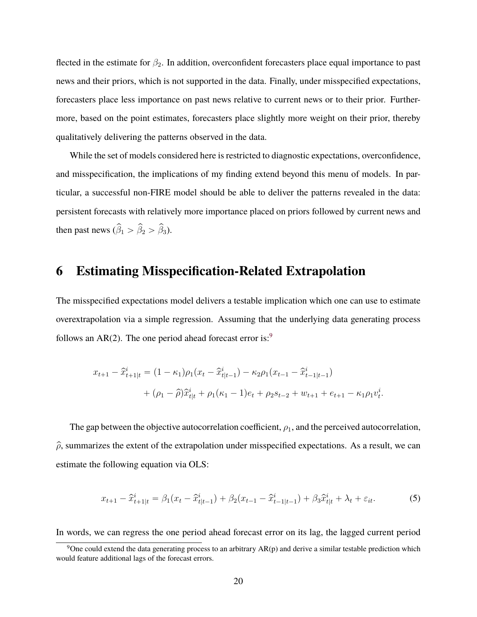<span id="page-19-1"></span>flected in the estimate for  $\beta_2$ . In addition, overconfident forecasters place equal importance to past news and their priors, which is not supported in the data. Finally, under misspecified expectations, forecasters place less importance on past news relative to current news or to their prior. Furthermore, based on the point estimates, forecasters place slightly more weight on their prior, thereby qualitatively delivering the patterns observed in the data.

While the set of models considered here is restricted to diagnostic expectations, overconfidence, and misspecification, the implications of my finding extend beyond this menu of models. In particular, a successful non-FIRE model should be able to deliver the patterns revealed in the data: persistent forecasts with relatively more importance placed on priors followed by current news and then past news  $(\hat{\beta}_1 > \hat{\beta}_2 > \hat{\beta}_3)$ .

### **6 Estimating Misspecification-Related Extrapolation**

The misspecified expectations model delivers a testable implication which one can use to estimate overextrapolation via a simple regression. Assuming that the underlying data generating process follows an  $AR(2)$ . The one period ahead forecast error is:<sup>[9](#page-19-0)</sup>

$$
x_{t+1} - \hat{x}_{t+1|t}^{i} = (1 - \kappa_{1})\rho_{1}(x_{t} - \hat{x}_{t|t-1}^{i}) - \kappa_{2}\rho_{1}(x_{t-1} - \hat{x}_{t-1|t-1}^{i})
$$
  
+ 
$$
(\rho_{1} - \hat{\rho})\hat{x}_{t|t}^{i} + \rho_{1}(\kappa_{1} - 1)e_{t} + \rho_{2}s_{t-2} + w_{t+1} + e_{t+1} - \kappa_{1}\rho_{1}v_{t}^{i}.
$$

The gap between the objective autocorrelation coefficient,  $\rho_1$ , and the perceived autocorrelation,  $\hat{\rho}$ , summarizes the extent of the extrapolation under misspecified expectations. As a result, we can estimate the following equation via OLS:

$$
x_{t+1} - \hat{x}_{t+1|t}^i = \beta_1 (x_t - \hat{x}_{t|t-1}^i) + \beta_2 (x_{t-1} - \hat{x}_{t-1|t-1}^i) + \beta_3 \hat{x}_{t|t}^i + \lambda_t + \varepsilon_{it}.
$$
 (5)

In words, we can regress the one period ahead forecast error on its lag, the lagged current period

<span id="page-19-0"></span> $9$ One could extend the data generating process to an arbitrary AR(p) and derive a similar testable prediction which would feature additional lags of the forecast errors.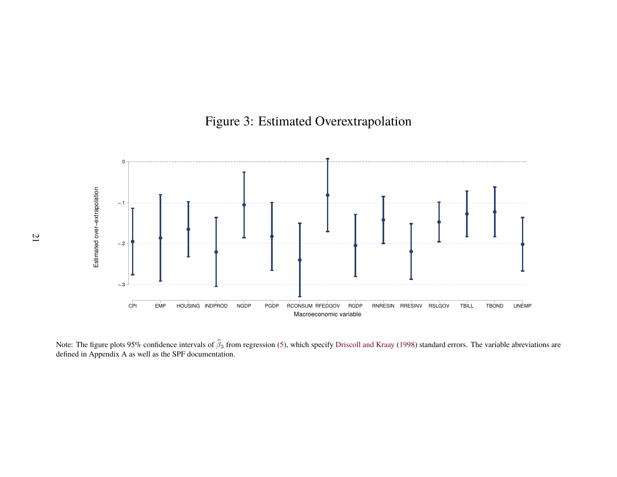# Figure 3: Estimated Overextrapolation

<span id="page-20-0"></span>

Note: The figure plots 95% confidence intervals of  $\hat{\beta}_3$  from regression [\(5\)](#page-19-1), which specify [Driscoll](#page-23-11) and Kraay [\(1998\)](#page-23-11) standard errors. The variable abreviations are defined in Appendix A as well as the SPF documentation.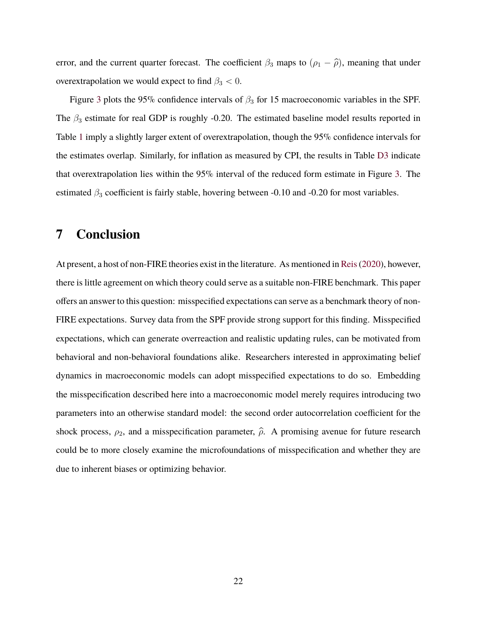error, and the current quarter forecast. The coefficient  $\beta_3$  maps to  $(\rho_1 - \hat{\rho})$ , meaning that under overextrapolation we would expect to find  $\beta_3 < 0$ .

Figure [3](#page-20-0) plots the 95% confidence intervals of  $\beta_3$  for 15 macroeconomic variables in the SPF. The  $\beta_3$  estimate for real GDP is roughly -0.20. The estimated baseline model results reported in Table [1](#page-11-0) imply a slightly larger extent of overextrapolation, though the 95% confidence intervals for the estimates overlap. Similarly, for inflation as measured by CPI, the results in Table [D3](#page-45-0) indicate that overextrapolation lies within the 95% interval of the reduced form estimate in Figure [3.](#page-20-0) The estimated  $\beta_3$  coefficient is fairly stable, hovering between -0.10 and -0.20 for most variables.

## **7 Conclusion**

At present, a host of non-FIRE theories exist in the literature. As mentioned in [Reis\(2020\)](#page-24-0), however, there is little agreement on which theory could serve as a suitable non-FIRE benchmark. This paper offers an answer to this question: misspecified expectations can serve as a benchmark theory of non-FIRE expectations. Survey data from the SPF provide strong support for this finding. Misspecified expectations, which can generate overreaction and realistic updating rules, can be motivated from behavioral and non-behavioral foundations alike. Researchers interested in approximating belief dynamics in macroeconomic models can adopt misspecified expectations to do so. Embedding the misspecification described here into a macroeconomic model merely requires introducing two parameters into an otherwise standard model: the second order autocorrelation coefficient for the shock process,  $\rho_2$ , and a misspecification parameter,  $\hat{\rho}$ . A promising avenue for future research could be to more closely examine the microfoundations of misspecification and whether they are due to inherent biases or optimizing behavior.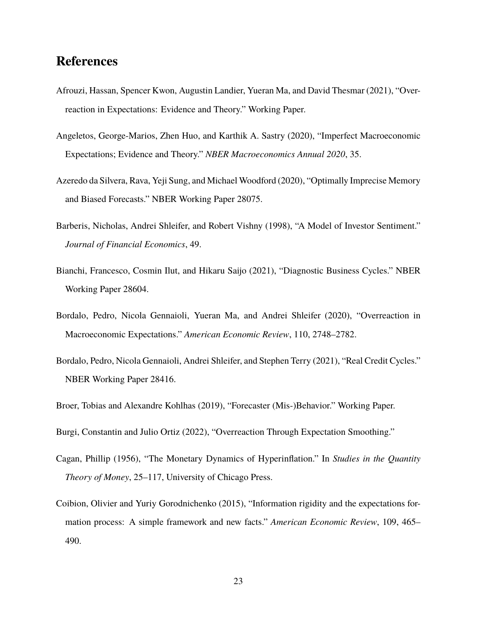### **References**

- <span id="page-22-7"></span>Afrouzi, Hassan, Spencer Kwon, Augustin Landier, Yueran Ma, and David Thesmar (2021), "Overreaction in Expectations: Evidence and Theory." Working Paper.
- <span id="page-22-9"></span>Angeletos, George-Marios, Zhen Huo, and Karthik A. Sastry (2020), "Imperfect Macroeconomic Expectations; Evidence and Theory." *NBER Macroeconomics Annual 2020*, 35.
- <span id="page-22-3"></span>Azeredo da Silvera, Rava, Yeji Sung, and Michael Woodford (2020), "Optimally Imprecise Memory and Biased Forecasts." NBER Working Paper 28075.
- <span id="page-22-5"></span>Barberis, Nicholas, Andrei Shleifer, and Robert Vishny (1998), "A Model of Investor Sentiment." *Journal of Financial Economics*, 49.
- <span id="page-22-10"></span>Bianchi, Francesco, Cosmin Ilut, and Hikaru Saijo (2021), "Diagnostic Business Cycles." NBER Working Paper 28604.
- <span id="page-22-1"></span>Bordalo, Pedro, Nicola Gennaioli, Yueran Ma, and Andrei Shleifer (2020), "Overreaction in Macroeconomic Expectations." *American Economic Review*, 110, 2748–2782.
- <span id="page-22-8"></span>Bordalo, Pedro, Nicola Gennaioli, Andrei Shleifer, and Stephen Terry (2021), "Real Credit Cycles." NBER Working Paper 28416.
- <span id="page-22-2"></span>Broer, Tobias and Alexandre Kohlhas (2019), "Forecaster (Mis-)Behavior." Working Paper.
- <span id="page-22-4"></span>Burgi, Constantin and Julio Ortiz (2022), "Overreaction Through Expectation Smoothing."
- <span id="page-22-6"></span>Cagan, Phillip (1956), "The Monetary Dynamics of Hyperinflation." In *Studies in the Quantity Theory of Money*, 25–117, University of Chicago Press.
- <span id="page-22-0"></span>Coibion, Olivier and Yuriy Gorodnichenko (2015), "Information rigidity and the expectations formation process: A simple framework and new facts." *American Economic Review*, 109, 465– 490.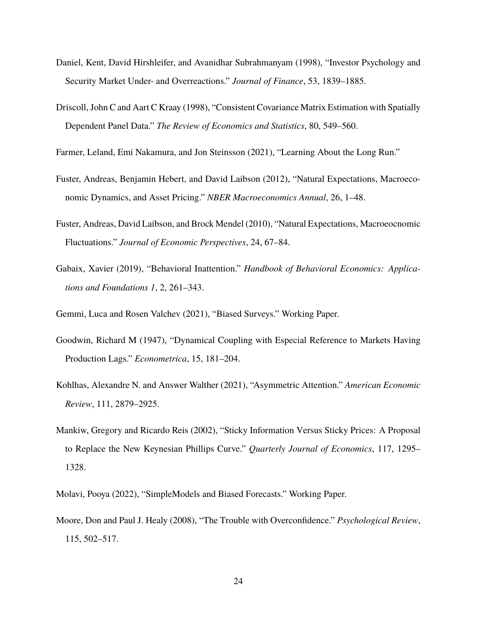- <span id="page-23-11"></span><span id="page-23-2"></span>Daniel, Kent, David Hirshleifer, and Avanidhar Subrahmanyam (1998), "Investor Psychology and Security Market Under- and Overreactions." *Journal of Finance*, 53, 1839–1885.
- Driscoll, John C and Aart C Kraay (1998), "Consistent Covariance Matrix Estimation with Spatially Dependent Panel Data." *The Review of Economics and Statistics*, 80, 549–560.
- <span id="page-23-6"></span>Farmer, Leland, Emi Nakamura, and Jon Steinsson (2021), "Learning About the Long Run."
- <span id="page-23-9"></span>Fuster, Andreas, Benjamin Hebert, and David Laibson (2012), "Natural Expectations, Macroeconomic Dynamics, and Asset Pricing." *NBER Macroeconomics Annual*, 26, 1–48.
- <span id="page-23-3"></span>Fuster, Andreas, David Laibson, and Brock Mendel (2010), "Natural Expectations, Macroeocnomic Fluctuations." *Journal of Economic Perspectives*, 24, 67–84.
- <span id="page-23-8"></span>Gabaix, Xavier (2019), "Behavioral Inattention." *Handbook of Behavioral Economics: Applications and Foundations 1*, 2, 261–343.

<span id="page-23-4"></span>Gemmi, Luca and Rosen Valchev (2021), "Biased Surveys." Working Paper.

- <span id="page-23-10"></span>Goodwin, Richard M (1947), "Dynamical Coupling with Especial Reference to Markets Having Production Lags." *Econometrica*, 15, 181–204.
- <span id="page-23-1"></span>Kohlhas, Alexandre N. and Answer Walther (2021), "Asymmetric Attention." *American Economic Review*, 111, 2879–2925.
- <span id="page-23-0"></span>Mankiw, Gregory and Ricardo Reis (2002), "Sticky Information Versus Sticky Prices: A Proposal to Replace the New Keynesian Phillips Curve." *Quarterly Journal of Economics*, 117, 1295– 1328.

<span id="page-23-7"></span>Molavi, Pooya (2022), "SimpleModels and Biased Forecasts." Working Paper.

<span id="page-23-5"></span>Moore, Don and Paul J. Healy (2008), "The Trouble with Overconfidence." *Psychological Review*, 115, 502–517.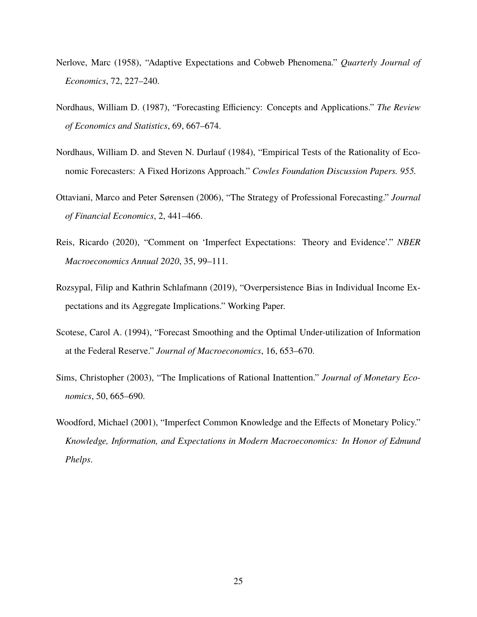- <span id="page-24-8"></span>Nerlove, Marc (1958), "Adaptive Expectations and Cobweb Phenomena." *Quarterly Journal of Economics*, 72, 227–240.
- <span id="page-24-4"></span>Nordhaus, William D. (1987), "Forecasting Efficiency: Concepts and Applications." *The Review of Economics and Statistics*, 69, 667–674.
- <span id="page-24-3"></span>Nordhaus, William D. and Steven N. Durlauf (1984), "Empirical Tests of the Rationality of Economic Forecasters: A Fixed Horizons Approach." *Cowles Foundation Discussion Papers. 955.*
- <span id="page-24-1"></span>Ottaviani, Marco and Peter Sørensen (2006), "The Strategy of Professional Forecasting." *Journal of Financial Economics*, 2, 441–466.
- <span id="page-24-0"></span>Reis, Ricardo (2020), "Comment on 'Imperfect Expectations: Theory and Evidence'." *NBER Macroeconomics Annual 2020*, 35, 99–111.
- <span id="page-24-2"></span>Rozsypal, Filip and Kathrin Schlafmann (2019), "Overpersistence Bias in Individual Income Expectations and its Aggregate Implications." Working Paper.
- <span id="page-24-5"></span>Scotese, Carol A. (1994), "Forecast Smoothing and the Optimal Under-utilization of Information at the Federal Reserve." *Journal of Macroeconomics*, 16, 653–670.
- <span id="page-24-7"></span>Sims, Christopher (2003), "The Implications of Rational Inattention." *Journal of Monetary Economics*, 50, 665–690.
- <span id="page-24-6"></span>Woodford, Michael (2001), "Imperfect Common Knowledge and the Effects of Monetary Policy." *Knowledge, Information, and Expectations in Modern Macroeconomics: In Honor of Edmund Phelps*.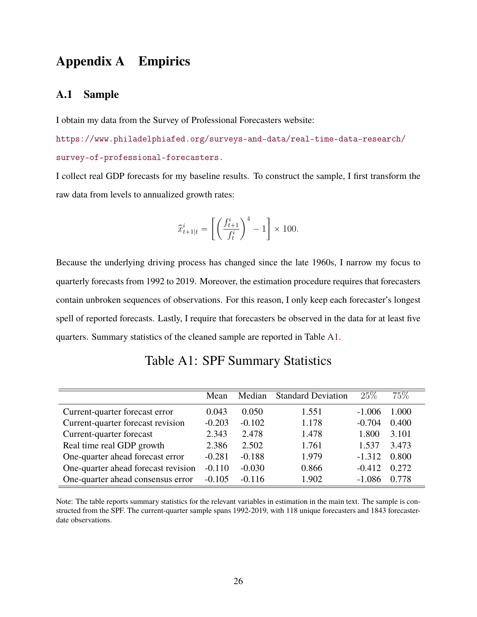## **Appendix A Empirics**

### **A.1 Sample**

I obtain my data from the Survey of Professional Forecasters website:

[https://www.philadelphiafed.org/surveys-and-data/real-time-data-research/](https://www.philadelphiafed.org/surveys-and-data/real-time-data-research/survey-of-professional-forecasters) [survey-of-professional-forecasters.](https://www.philadelphiafed.org/surveys-and-data/real-time-data-research/survey-of-professional-forecasters)

I collect real GDP forecasts for my baseline results. To construct the sample, I first transform the raw data from levels to annualized growth rates:

$$
\hat{x}_{t+1|t}^i = \left[ \left( \frac{f_{t+1}^i}{f_t^i} \right)^4 - 1 \right] \times 100.
$$

Because the underlying driving process has changed since the late 1960s, I narrow my focus to quarterly forecasts from 1992 to 2019. Moreover, the estimation procedure requires that forecasters contain unbroken sequences of observations. For this reason, I only keep each forecaster's longest spell of reported forecasts. Lastly, I require that forecasters be observed in the data for at least five quarters. Summary statistics of the cleaned sample are reported in Table [A1.](#page-25-0)

<span id="page-25-0"></span>

|                                     | Mean     | Median   | <b>Standard Deviation</b> | 25\%     | 75%   |
|-------------------------------------|----------|----------|---------------------------|----------|-------|
| Current-quarter forecast error      | 0.043    | 0.050    | 1.551                     | $-1.006$ | 1.000 |
| Current-quarter forecast revision   | $-0.203$ | $-0.102$ | 1.178                     | $-0.704$ | 0.400 |
| Current-quarter forecast            | 2.343    | 2.478    | 1.478                     | 1.800    | 3.101 |
| Real time real GDP growth           | 2.386    | 2.502    | 1.761                     | 1.537    | 3.473 |
| One-quarter ahead forecast error    | $-0.281$ | $-0.188$ | 1.979                     | $-1.312$ | 0.800 |
| One-quarter ahead forecast revision | $-0.110$ | $-0.030$ | 0.866                     | $-0.412$ | 0.272 |
| One-quarter ahead consensus error   | $-0.105$ | $-0.116$ | 1.902                     | $-1.086$ | 0.778 |

## Table A1: SPF Summary Statistics

Note: The table reports summary statistics for the relevant variables in estimation in the main text. The sample is constructed from the SPF. The current-quarter sample spans 1992-2019, with 118 unique forecasters and 1843 forecasterdate observations.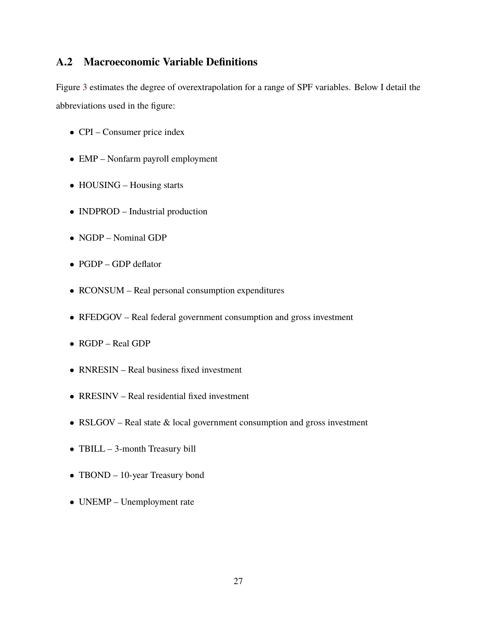### **A.2 Macroeconomic Variable Definitions**

Figure [3](#page-20-0) estimates the degree of overextrapolation for a range of SPF variables. Below I detail the abbreviations used in the figure:

- CPI Consumer price index
- EMP Nonfarm payroll employment
- HOUSING Housing starts
- INDPROD Industrial production
- NGDP Nominal GDP
- PGDP GDP deflator
- RCONSUM Real personal consumption expenditures
- RFEDGOV Real federal government consumption and gross investment
- RGDP Real GDP
- RNRESIN Real business fixed investment
- RRESINV Real residential fixed investment
- RSLGOV Real state  $\&$  local government consumption and gross investment
- TBILL 3-month Treasury bill
- TBOND 10-year Treasury bond
- UNEMP Unemployment rate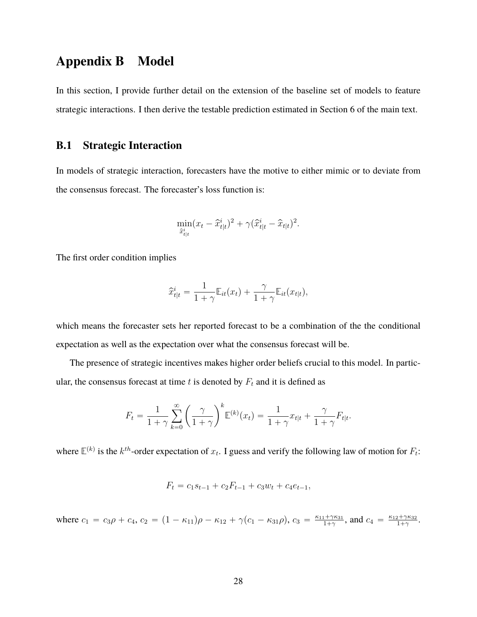### **Appendix B Model**

In this section, I provide further detail on the extension of the baseline set of models to feature strategic interactions. I then derive the testable prediction estimated in Section 6 of the main text.

### **B.1 Strategic Interaction**

In models of strategic interaction, forecasters have the motive to either mimic or to deviate from the consensus forecast. The forecaster's loss function is:

$$
\min_{\hat{x}^i_{t|t}} (x_t - \hat{x}^i_{t|t})^2 + \gamma (\hat{x}^i_{t|t} - \hat{x}_{t|t})^2.
$$

The first order condition implies

$$
\widehat{x}_{t|t}^i = \frac{1}{1+\gamma} \mathbb{E}_{it}(x_t) + \frac{\gamma}{1+\gamma} \mathbb{E}_{it}(x_{t|t}),
$$

which means the forecaster sets her reported forecast to be a combination of the the conditional expectation as well as the expectation over what the consensus forecast will be.

The presence of strategic incentives makes higher order beliefs crucial to this model. In particular, the consensus forecast at time  $t$  is denoted by  $F_t$  and it is defined as

$$
F_t = \frac{1}{1+\gamma} \sum_{k=0}^{\infty} \left(\frac{\gamma}{1+\gamma}\right)^k \mathbb{E}^{(k)}(x_t) = \frac{1}{1+\gamma} x_{t|t} + \frac{\gamma}{1+\gamma} F_{t|t}.
$$

where  $\mathbb{E}^{(k)}$  is the  $k^{th}$ -order expectation of  $x_t$ . I guess and verify the following law of motion for  $F_t$ :

$$
F_t = c_1 s_{t-1} + c_2 F_{t-1} + c_3 w_t + c_4 e_{t-1},
$$

where  $c_1 = c_3 \rho + c_4$ ,  $c_2 = (1 - \kappa_{11})\rho - \kappa_{12} + \gamma(c_1 - \kappa_{31}\rho)$ ,  $c_3 = \frac{\kappa_{11} + \gamma \kappa_{31}}{1 + \gamma}$  $\frac{1+\gamma\kappa_{31}}{1+\gamma}$ , and  $c_4 = \frac{\kappa_{12}+\gamma\kappa_{32}}{1+\gamma}$ <u>2+γκ32</u> .<br>1+γ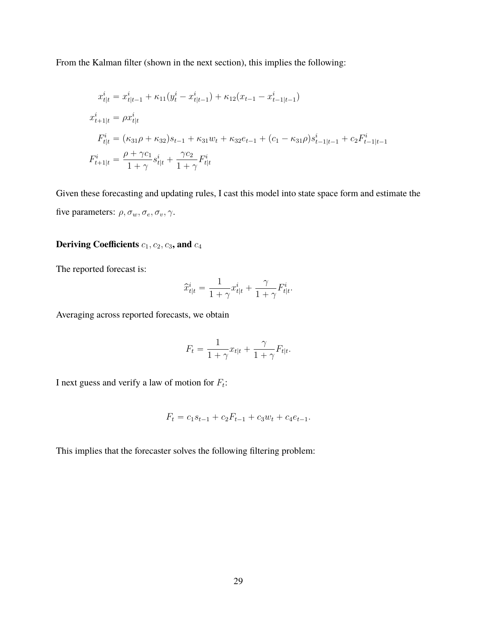From the Kalman filter (shown in the next section), this implies the following:

$$
x_{t|t}^{i} = x_{t|t-1}^{i} + \kappa_{11}(y_{t}^{i} - x_{t|t-1}^{i}) + \kappa_{12}(x_{t-1} - x_{t-1|t-1}^{i})
$$
  
\n
$$
x_{t+1|t}^{i} = \rho x_{t|t}^{i}
$$
  
\n
$$
F_{t|t}^{i} = (\kappa_{31}\rho + \kappa_{32})s_{t-1} + \kappa_{31}w_{t} + \kappa_{32}e_{t-1} + (c_{1} - \kappa_{31}\rho)s_{t-1|t-1}^{i} + c_{2}F_{t-1|t-1}^{i}
$$
  
\n
$$
F_{t+1|t}^{i} = \frac{\rho + \gamma c_{1}}{1 + \gamma}s_{t|t}^{i} + \frac{\gamma c_{2}}{1 + \gamma}F_{t|t}^{i}
$$

Given these forecasting and updating rules, I cast this model into state space form and estimate the five parameters:  $\rho, \sigma_w, \sigma_e, \sigma_v, \gamma$ .

### **Deriving Coefficients**  $c_1$ ,  $c_2$ ,  $c_3$ , and  $c_4$

The reported forecast is:

$$
\widehat{x}^i_{t|t} = \frac{1}{1+\gamma} x^i_{t|t} + \frac{\gamma}{1+\gamma} F^i_{t|t}.
$$

Averaging across reported forecasts, we obtain

$$
F_t = \frac{1}{1+\gamma} x_{t|t} + \frac{\gamma}{1+\gamma} F_{t|t}.
$$

I next guess and verify a law of motion for  $F_t$ :

$$
F_t = c_1 s_{t-1} + c_2 F_{t-1} + c_3 w_t + c_4 e_{t-1}.
$$

This implies that the forecaster solves the following filtering problem: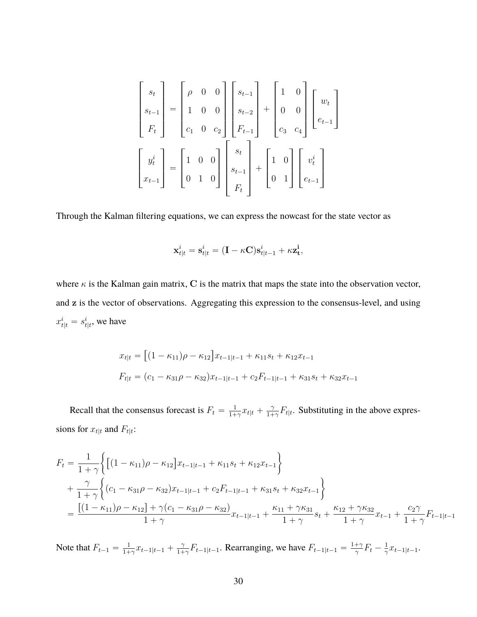$$
\begin{bmatrix} s_t \\ s_{t-1} \\ F_t \end{bmatrix} = \begin{bmatrix} \rho & 0 & 0 \\ 1 & 0 & 0 \\ c_1 & 0 & c_2 \end{bmatrix} \begin{bmatrix} s_{t-1} \\ s_{t-2} \\ F_{t-1} \end{bmatrix} + \begin{bmatrix} 1 & 0 \\ 0 & 0 \\ c_3 & c_4 \end{bmatrix} \begin{bmatrix} w_t \\ e_{t-1} \end{bmatrix}
$$

$$
\begin{bmatrix} y_t^i \\ x_{t-1} \end{bmatrix} = \begin{bmatrix} 1 & 0 & 0 \\ 0 & 1 & 0 \end{bmatrix} \begin{bmatrix} s_t \\ s_{t-1} \\ F_t \end{bmatrix} + \begin{bmatrix} 1 & 0 \\ 0 & 1 \end{bmatrix} \begin{bmatrix} v_t^i \\ e_{t-1} \end{bmatrix}
$$

Through the Kalman filtering equations, we can express the nowcast for the state vector as

$$
\mathbf{x}_{t|t}^i = \mathbf{s}_{t|t}^i = (\mathbf{I} - \kappa \mathbf{C})\mathbf{s}_{t|t-1}^i + \kappa \mathbf{z_t^i},
$$

where  $\kappa$  is the Kalman gain matrix, C is the matrix that maps the state into the observation vector, and z is the vector of observations. Aggregating this expression to the consensus-level, and using  $x_{t|t}^i = s_{t|t}^i$ , we have

$$
x_{t|t} = [(1 - \kappa_{11})\rho - \kappa_{12}]x_{t-1|t-1} + \kappa_{11}s_t + \kappa_{12}x_{t-1}
$$
  

$$
F_{t|t} = (c_1 - \kappa_{31}\rho - \kappa_{32})x_{t-1|t-1} + c_2F_{t-1|t-1} + \kappa_{31}s_t + \kappa_{32}x_{t-1}
$$

Recall that the consensus forecast is  $F_t = \frac{1}{1+1}$  $\frac{1}{1+\gamma}x_{t|t} + \frac{\gamma}{1+\gamma}$  $\frac{\gamma}{1+\gamma}F_{t|t}$ . Substituting in the above expressions for  $x_{t|t}$  and  $F_{t|t}$ :

$$
F_{t} = \frac{1}{1+\gamma} \left\{ \left[ (1 - \kappa_{11})\rho - \kappa_{12} \right] x_{t-1|t-1} + \kappa_{11} s_{t} + \kappa_{12} x_{t-1} \right\}
$$
  
+ 
$$
\frac{\gamma}{1+\gamma} \left\{ (c_{1} - \kappa_{31}\rho - \kappa_{32})x_{t-1|t-1} + c_{2}F_{t-1|t-1} + \kappa_{31} s_{t} + \kappa_{32} x_{t-1} \right\}
$$
  
= 
$$
\frac{\left[ (1 - \kappa_{11})\rho - \kappa_{12} \right] + \gamma (c_{1} - \kappa_{31}\rho - \kappa_{32})}{1+\gamma} x_{t-1|t-1} + \frac{\kappa_{11} + \gamma \kappa_{31}}{1+\gamma} s_{t} + \frac{\kappa_{12} + \gamma \kappa_{32}}{1+\gamma} x_{t-1} + \frac{c_{2}\gamma}{1+\gamma} F_{t-1|t-1}
$$

Note that  $F_{t-1} = \frac{1}{1+1}$  $\frac{1}{1+\gamma}x_{t-1|t-1} + \frac{\gamma}{1+\gamma}$  $\frac{\gamma}{1+\gamma}F_{t-1|t-1}$ . Rearranging, we have  $F_{t-1|t-1} = \frac{1+\gamma}{\gamma}$  $\frac{+\gamma}{\gamma}F_t-\frac{1}{\gamma}$  $\frac{1}{\gamma}x_{t-1|t-1}$ .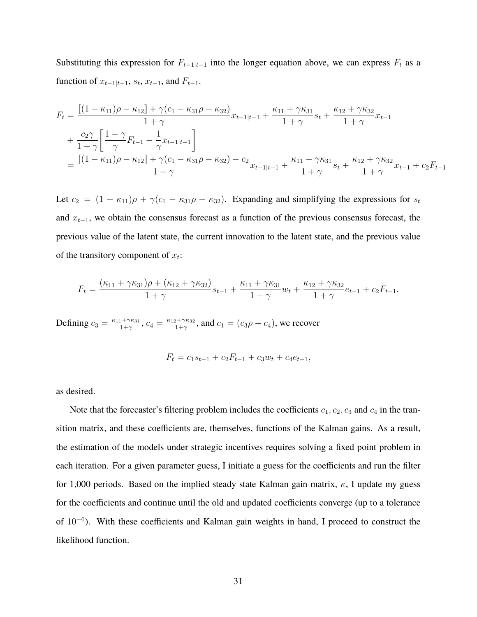Substituting this expression for  $F_{t-1|t-1}$  into the longer equation above, we can express  $F_t$  as a function of  $x_{t-1|t-1}$ ,  $s_t$ ,  $x_{t-1}$ , and  $F_{t-1}$ .

$$
F_{t} = \frac{\left[ (1 - \kappa_{11})\rho - \kappa_{12} \right] + \gamma (c_{1} - \kappa_{31}\rho - \kappa_{32})}{1 + \gamma} x_{t-1|t-1} + \frac{\kappa_{11} + \gamma \kappa_{31}}{1 + \gamma} s_{t} + \frac{\kappa_{12} + \gamma \kappa_{32}}{1 + \gamma} x_{t-1} + \frac{c_{2}\gamma}{1 + \gamma} \left[ \frac{1 + \gamma}{\gamma} F_{t-1} - \frac{1}{\gamma} x_{t-1|t-1} \right] = \frac{\left[ (1 - \kappa_{11})\rho - \kappa_{12} \right] + \gamma (c_{1} - \kappa_{31}\rho - \kappa_{32}) - c_{2}}{1 + \gamma} x_{t-1|t-1} + \frac{\kappa_{11} + \gamma \kappa_{31}}{1 + \gamma} s_{t} + \frac{\kappa_{12} + \gamma \kappa_{32}}{1 + \gamma} x_{t-1} + c_{2} F_{t-1}
$$

Let  $c_2 = (1 - \kappa_{11})\rho + \gamma(c_1 - \kappa_{31}\rho - \kappa_{32})$ . Expanding and simplifying the expressions for  $s_t$ and  $x_{t-1}$ , we obtain the consensus forecast as a function of the previous consensus forecast, the previous value of the latent state, the current innovation to the latent state, and the previous value of the transitory component of  $x_t$ :

$$
F_t = \frac{(\kappa_{11} + \gamma \kappa_{31})\rho + (\kappa_{12} + \gamma \kappa_{32})}{1 + \gamma} s_{t-1} + \frac{\kappa_{11} + \gamma \kappa_{31}}{1 + \gamma} w_t + \frac{\kappa_{12} + \gamma \kappa_{32}}{1 + \gamma} e_{t-1} + c_2 F_{t-1}.
$$

Defining  $c_3 = \frac{\kappa_{11} + \gamma \kappa_{31}}{1 + \gamma}$  $\frac{1+\gamma\kappa_{31}}{1+\gamma}$ ,  $c_4 = \frac{\kappa_{12}+\gamma\kappa_{32}}{1+\gamma}$  $\frac{c_2 + \gamma \kappa_{32}}{1 + \gamma}$ , and  $c_1 = (c_3 \rho + c_4)$ , we recover

$$
F_t = c_1 s_{t-1} + c_2 F_{t-1} + c_3 w_t + c_4 e_{t-1},
$$

as desired.

Note that the forecaster's filtering problem includes the coefficients  $c_1, c_2, c_3$  and  $c_4$  in the transition matrix, and these coefficients are, themselves, functions of the Kalman gains. As a result, the estimation of the models under strategic incentives requires solving a fixed point problem in each iteration. For a given parameter guess, I initiate a guess for the coefficients and run the filter for 1,000 periods. Based on the implied steady state Kalman gain matrix,  $\kappa$ , I update my guess for the coefficients and continue until the old and updated coefficients converge (up to a tolerance of  $10^{-6}$ ). With these coefficients and Kalman gain weights in hand, I proceed to construct the likelihood function.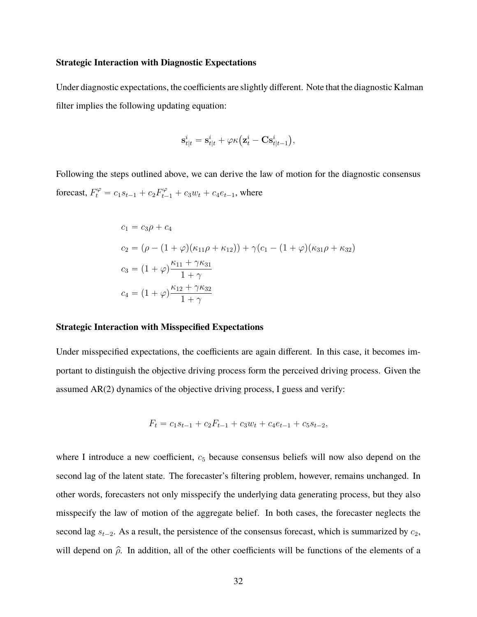#### **Strategic Interaction with Diagnostic Expectations**

Under diagnostic expectations, the coefficients are slightly different. Note that the diagnostic Kalman filter implies the following updating equation:

$$
\mathbf{s}_{t|t}^i = \mathbf{s}_{t|t}^i + \varphi \kappa (\mathbf{z}_t^i - \mathbf{C}\mathbf{s}_{t|t-1}^i),
$$

Following the steps outlined above, we can derive the law of motion for the diagnostic consensus forecast,  $F_t^{\varphi} = c_1 s_{t-1} + c_2 F_{t-1}^{\varphi} + c_3 w_t + c_4 e_{t-1}$ , where

$$
c_1 = c_3 \rho + c_4
$$
  
\n
$$
c_2 = (\rho - (1 + \varphi)(\kappa_{11}\rho + \kappa_{12})) + \gamma(c_1 - (1 + \varphi)(\kappa_{31}\rho + \kappa_{32}))
$$
  
\n
$$
c_3 = (1 + \varphi)\frac{\kappa_{11} + \gamma \kappa_{31}}{1 + \gamma}
$$
  
\n
$$
c_4 = (1 + \varphi)\frac{\kappa_{12} + \gamma \kappa_{32}}{1 + \gamma}
$$

#### **Strategic Interaction with Misspecified Expectations**

Under misspecified expectations, the coefficients are again different. In this case, it becomes important to distinguish the objective driving process form the perceived driving process. Given the assumed AR(2) dynamics of the objective driving process, I guess and verify:

$$
F_t = c_1 s_{t-1} + c_2 F_{t-1} + c_3 w_t + c_4 e_{t-1} + c_5 s_{t-2},
$$

where I introduce a new coefficient,  $c<sub>5</sub>$  because consensus beliefs will now also depend on the second lag of the latent state. The forecaster's filtering problem, however, remains unchanged. In other words, forecasters not only misspecify the underlying data generating process, but they also misspecify the law of motion of the aggregate belief. In both cases, the forecaster neglects the second lag  $s_{t-2}$ . As a result, the persistence of the consensus forecast, which is summarized by  $c_2$ , will depend on  $\hat{\rho}$ . In addition, all of the other coefficients will be functions of the elements of a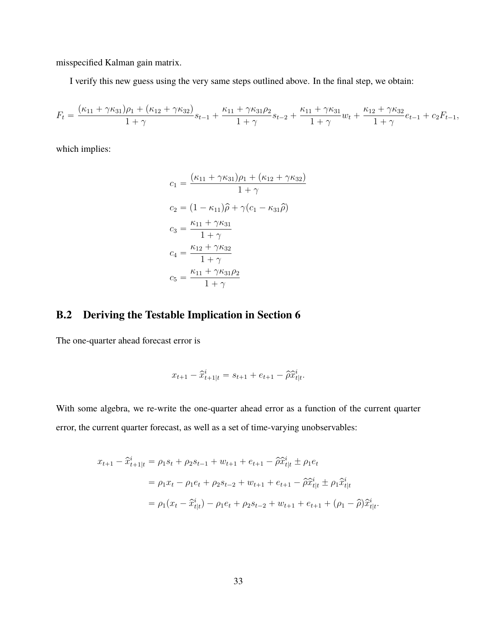misspecified Kalman gain matrix.

I verify this new guess using the very same steps outlined above. In the final step, we obtain:

$$
F_t = \frac{(\kappa_{11} + \gamma \kappa_{31})\rho_1 + (\kappa_{12} + \gamma \kappa_{32})}{1 + \gamma}s_{t-1} + \frac{\kappa_{11} + \gamma \kappa_{31}\rho_2}{1 + \gamma}s_{t-2} + \frac{\kappa_{11} + \gamma \kappa_{31}}{1 + \gamma}w_t + \frac{\kappa_{12} + \gamma \kappa_{32}}{1 + \gamma}e_{t-1} + c_2F_{t-1},
$$

which implies:

$$
c_1 = \frac{(\kappa_{11} + \gamma \kappa_{31})\rho_1 + (\kappa_{12} + \gamma \kappa_{32})}{1 + \gamma}
$$
  
\n
$$
c_2 = (1 - \kappa_{11})\hat{\rho} + \gamma(c_1 - \kappa_{31}\hat{\rho})
$$
  
\n
$$
c_3 = \frac{\kappa_{11} + \gamma \kappa_{31}}{1 + \gamma}
$$
  
\n
$$
c_4 = \frac{\kappa_{12} + \gamma \kappa_{32}}{1 + \gamma}
$$
  
\n
$$
c_5 = \frac{\kappa_{11} + \gamma \kappa_{31}\rho_2}{1 + \gamma}
$$

### **B.2 Deriving the Testable Implication in Section 6**

The one-quarter ahead forecast error is

$$
x_{t+1} - \hat{x}_{t+1|t}^i = s_{t+1} + e_{t+1} - \hat{\rho} \hat{x}_{t|t}^i.
$$

With some algebra, we re-write the one-quarter ahead error as a function of the current quarter error, the current quarter forecast, as well as a set of time-varying unobservables:

$$
x_{t+1} - \hat{x}_{t+1|t}^i = \rho_1 s_t + \rho_2 s_{t-1} + w_{t+1} + e_{t+1} - \hat{\rho} \hat{x}_{t|t}^i \pm \rho_1 e_t
$$
  
=  $\rho_1 x_t - \rho_1 e_t + \rho_2 s_{t-2} + w_{t+1} + e_{t+1} - \hat{\rho} \hat{x}_{t|t}^i \pm \rho_1 \hat{x}_{t|t}^i$   
=  $\rho_1 (x_t - \hat{x}_{t|t}^i) - \rho_1 e_t + \rho_2 s_{t-2} + w_{t+1} + e_{t+1} + (\rho_1 - \hat{\rho}) \hat{x}_{t|t}^i$ .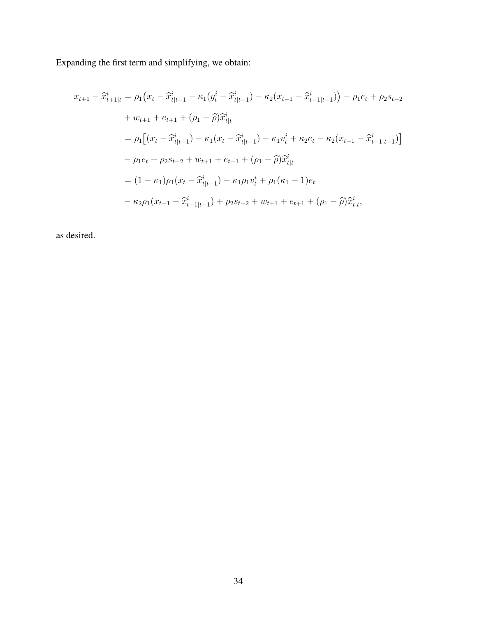Expanding the first term and simplifying, we obtain:

$$
x_{t+1} - \hat{x}_{t+1|t}^{i} = \rho_1 (x_t - \hat{x}_{t|t-1}^{i} - \kappa_1 (y_t^i - \hat{x}_{t|t-1}^i) - \kappa_2 (x_{t-1} - \hat{x}_{t-1|t-1}^i)) - \rho_1 e_t + \rho_2 s_{t-2}
$$
  
+ 
$$
w_{t+1} + e_{t+1} + (\rho_1 - \hat{\rho}) \hat{x}_{t|t}^{i}
$$
  
= 
$$
\rho_1 [(x_t - \hat{x}_{t|t-1}^i) - \kappa_1 (x_t - \hat{x}_{t|t-1}^i) - \kappa_1 v_t^i + \kappa_2 e_t - \kappa_2 (x_{t-1} - \hat{x}_{t-1|t-1}^i)]
$$
  
- 
$$
\rho_1 e_t + \rho_2 s_{t-2} + w_{t+1} + e_{t+1} + (\rho_1 - \hat{\rho}) \hat{x}_{t|t}^{i}
$$
  
= 
$$
(1 - \kappa_1) \rho_1 (x_t - \hat{x}_{t|t-1}^i) - \kappa_1 \rho_1 v_t^i + \rho_1 (\kappa_1 - 1) e_t
$$
  
- 
$$
\kappa_2 \rho_1 (x_{t-1} - \hat{x}_{t-1|t-1}^i) + \rho_2 s_{t-2} + w_{t+1} + e_{t+1} + (\rho_1 - \hat{\rho}) \hat{x}_{t|t}^i,
$$

as desired.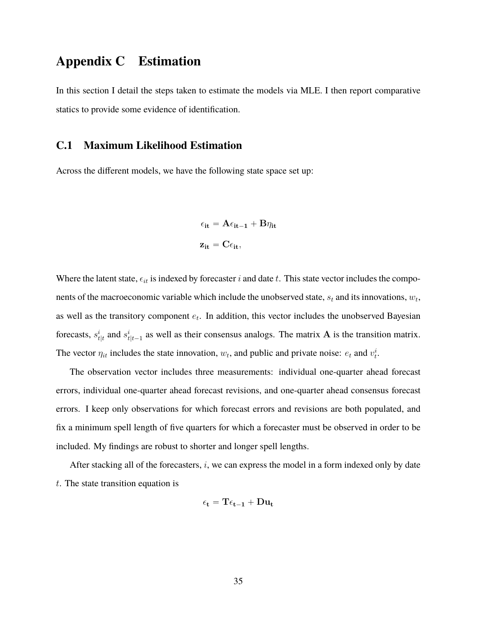### **Appendix C Estimation**

In this section I detail the steps taken to estimate the models via MLE. I then report comparative statics to provide some evidence of identification.

#### **C.1 Maximum Likelihood Estimation**

Across the different models, we have the following state space set up:

$$
\epsilon_{it} = A\epsilon_{it-1} + B\eta_{it}
$$

$$
z_{it} = C\epsilon_{it},
$$

Where the latent state,  $\epsilon_{it}$  is indexed by forecaster i and date t. This state vector includes the components of the macroeconomic variable which include the unobserved state,  $s_t$  and its innovations,  $w_t$ , as well as the transitory component  $e_t$ . In addition, this vector includes the unobserved Bayesian forecasts,  $s_{t|t}^i$  and  $s_{t|t-1}^i$  as well as their consensus analogs. The matrix **A** is the transition matrix. The vector  $\eta_{it}$  includes the state innovation,  $w_t$ , and public and private noise:  $e_t$  and  $v_t^i$ .

The observation vector includes three measurements: individual one-quarter ahead forecast errors, individual one-quarter ahead forecast revisions, and one-quarter ahead consensus forecast errors. I keep only observations for which forecast errors and revisions are both populated, and fix a minimum spell length of five quarters for which a forecaster must be observed in order to be included. My findings are robust to shorter and longer spell lengths.

After stacking all of the forecasters, i, we can express the model in a form indexed only by date t. The state transition equation is

$$
\epsilon_t = T\epsilon_{t-1} + Du_t
$$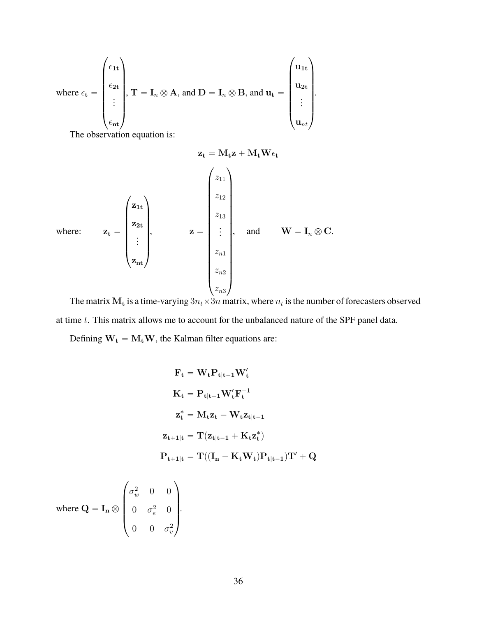where 
$$
\epsilon_t = \begin{pmatrix} \epsilon_{1t} \\ \epsilon_{2t} \\ \vdots \\ \epsilon_{nt} \end{pmatrix}
$$
,  $T = I_n \otimes A$ , and  $D = I_n \otimes B$ , and  $u_t = \begin{pmatrix} u_{1t} \\ u_{2t} \\ \vdots \\ u_{nt} \end{pmatrix}$ .

The observation equation is:

$$
\mathbf{z}_{t} = \mathbf{M}_{t} \mathbf{z} + \mathbf{M}_{t} \mathbf{W} \epsilon_{t}
$$
\nwhere:  
\n
$$
\mathbf{z}_{t} = \begin{pmatrix} z_{1t} \\ z_{2t} \\ \vdots \\ z_{nt} \end{pmatrix}, \qquad \mathbf{z} = \begin{pmatrix} z_{11} \\ z_{12} \\ z_{13} \\ \vdots \\ z_{n1} \\ z_{n2} \\ z_{n3} \end{pmatrix}, \text{ and } \mathbf{W} = \mathbf{I}_{n} \otimes \mathbf{C}.
$$

The matrix  $M_t$  is a time-varying  $3n_t \times 3n$  matrix, where  $n_t$  is the number of forecasters observed at time t. This matrix allows me to account for the unbalanced nature of the SPF panel data.

Defining  $W_t = M_tW$ , the Kalman filter equations are:

$$
F_t = W_t P_{t|t-1} W'_t
$$
  
\n
$$
K_t = P_{t|t-1} W'_t F_t^{-1}
$$
  
\n
$$
z_t^* = M_t z_t - W_t z_{t|t-1}
$$
  
\n
$$
z_{t+1|t} = T(z_{t|t-1} + K_t z_t^*)
$$
  
\n
$$
P_{t+1|t} = T((I_n - K_t W_t) P_{t|t-1}) T' + Q
$$
  
\n
$$
\left(\sigma^2 - 0 - 0\right)
$$

where  $\mathbf{Q} = \mathbf{I_n} \otimes$  $\begin{pmatrix} \sigma_w^2 & 0 & 0 \\ 0 & \sigma_e^2 & 0 \end{pmatrix}$ 0  $\sigma_e^2$  0 0 0  $\sigma_v^2$ ‹ ‹ ‹ ‹' .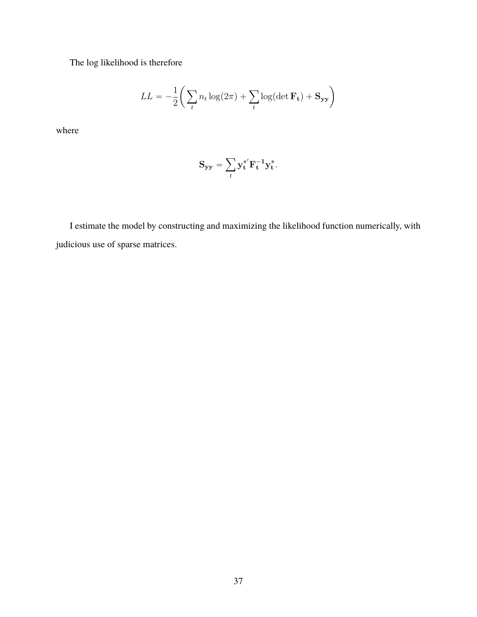The log likelihood is therefore

$$
LL = -\frac{1}{2} \bigg( \sum_{t} n_t \log(2\pi) + \sum_{t} \log(\det \mathbf{F_t}) + \mathbf{S_{yy}} \bigg)
$$

where

$$
\mathbf{S}_{\mathbf{y}\mathbf{y}} = \sum_t \mathbf{y_t^*}^{\mathbf{F}^{-1}} \mathbf{y_t^*}.
$$

I estimate the model by constructing and maximizing the likelihood function numerically, with judicious use of sparse matrices.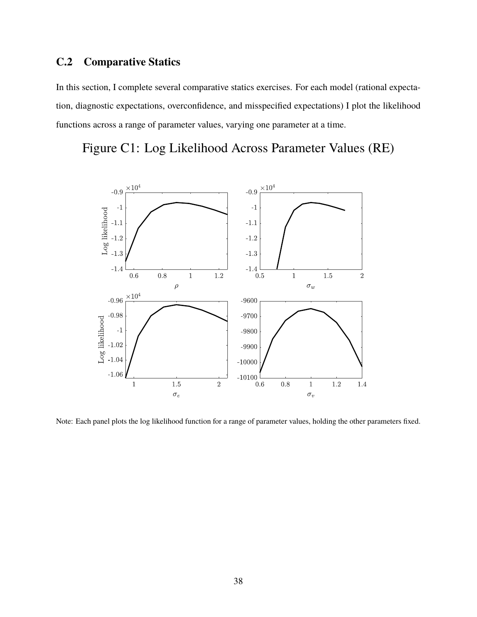### **C.2 Comparative Statics**

In this section, I complete several comparative statics exercises. For each model (rational expectation, diagnostic expectations, overconfidence, and misspecified expectations) I plot the likelihood functions across a range of parameter values, varying one parameter at a time.

Figure C1: Log Likelihood Across Parameter Values (RE)



Note: Each panel plots the log likelihood function for a range of parameter values, holding the other parameters fixed.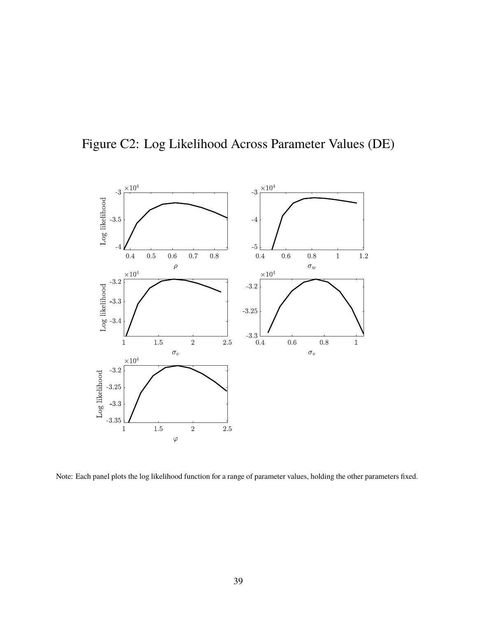

Figure C2: Log Likelihood Across Parameter Values (DE)

Note: Each panel plots the log likelihood function for a range of parameter values, holding the other parameters fixed.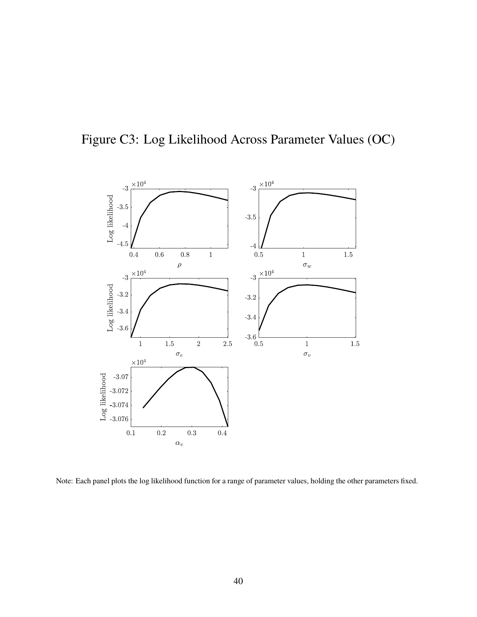



Note: Each panel plots the log likelihood function for a range of parameter values, holding the other parameters fixed.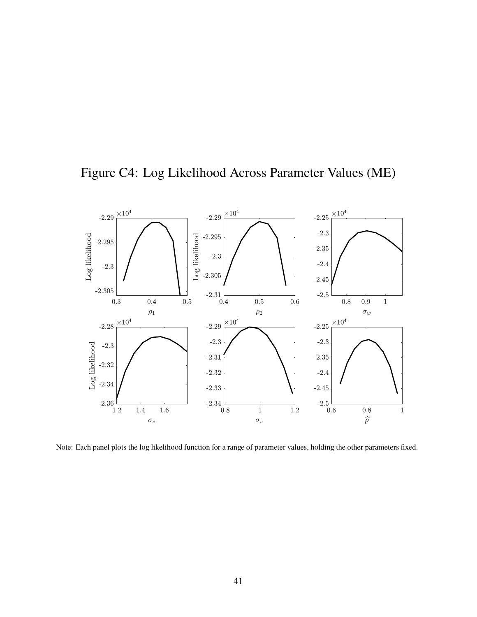

Figure C4: Log Likelihood Across Parameter Values (ME)

Note: Each panel plots the log likelihood function for a range of parameter values, holding the other parameters fixed.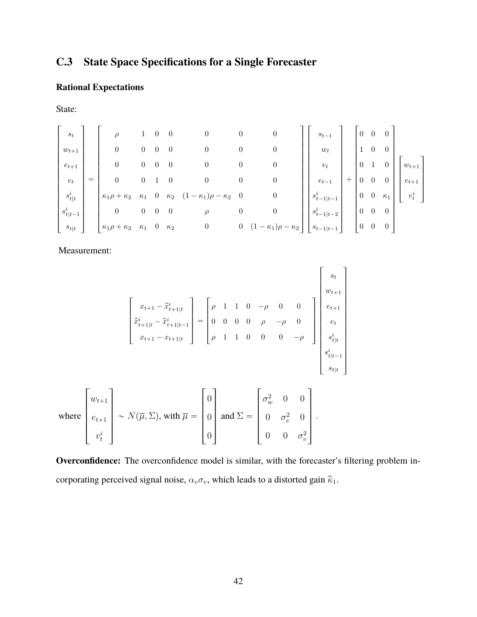## **C.3 State Space Specifications for a Single Forecaster**

### **Rational Expectations**

State:

$$
\begin{bmatrix} s_t \\ w_{t+1} \\ e_{t+1} \\ \vdots \\ s_{t|t}^i \\ s_{t|t-1}^i \\ \vdots \\ s_{t|t}^i \end{bmatrix} = \begin{bmatrix} \rho & 1 & 0 & 0 & 0 & 0 & 0 & 0 \\ 0 & 0 & 0 & 0 & 0 & 0 & 0 & 0 \\ 0 & 0 & 0 & 0 & 0 & 0 & 0 & 0 \\ 0 & 0 & 1 & 0 & 0 & 0 & 0 & 0 \\ 0 & 0 & 0 & 0 & 0 & 0 & 0 & 0 \\ 0 & 0 & 0 & 0 & \rho & 0 & 0 & 0 \\ 0 & 0 & 0 & 0 & \rho & 0 & 0 & 0 \\ 0 & 0 & 0 & 0 & \rho & 0 & 0 & 0 \\ 0 & 0 & 0 & 0 & 0 & 0 & 0 & 0 \\ 0 & 0 & 0 & 0 & 0 & 0 & 0 & 0 \\ 0 & 0 & 0 & 0 & 0 & 0 & 0 & 0 \\ 0 & 0 & 0 & 0 & 0 & 0 & 0 & 0 \\ 0 & 0 & 0 & 0 & 0 & 0 & 0 & 0 \\ 0 & 0 & 0 & 0 & 0 & 0 & 0 & 0 \\ 0 & 0 & 0 & 0 & 0 & 0 & 0 & 0 \\ 0 & 0 & 0 & 0 & 0 & 0 & 0 & 0 \\ 0 & 0 & 0 & 0 & 0 & 0 & 0 & 0 \\ 0 & 0 & 0 & 0 & 0 & 0 & 0 & 0 \\ 0 & 0 & 0 & 0 & 0 & 0 & 0 & 0 \\ 0 & 0 & 0 & 0 & 0 & 0 & 0 & 0 \\ 0 & 0 & 0 & 0 & 0 & 0 & 0 & 0 \\ 0 & 0 & 0 & 0 & 0 & 0 & 0 & 0 \\ 0 & 0 & 0 & 0 & 0 & 0 & 0 & 0 \\ 0 & 0 & 0 & 0 & 0 & 0 & 0 & 0 \\ 0 & 0 & 0 & 0 & 0 & 0 & 0 & 0 \\ 0 & 0 & 0 & 0 & 0 & 0 & 0 & 0 \\ 0 & 0 & 0 & 0 & 0 & 0 & 0 & 0 \\ 0 & 0 & 0 & 0 & 0 & 0 & 0 & 0 \\ 0 & 0 & 0 & 0 & 0 &
$$

Measurement:

$$
\begin{bmatrix}\nx_{t+1} - \hat{x}_{t+1|t}^{i} \\
\hat{x}_{t+1|t}^{i} - \hat{x}_{t+1|t-1}^{i} \\
x_{t+1} - x_{t+1|t}\n\end{bmatrix} = \begin{bmatrix}\n\rho & 1 & 1 & 0 & -\rho & 0 & 0 \\
0 & 0 & 0 & 0 & \rho & -\rho & 0 \\
\rho & 1 & 1 & 0 & 0 & 0 & -\rho\n\end{bmatrix} \begin{bmatrix}\ns_t \\
e_{t+1} \\
e_t \\
s_{t|t}^i \\
s_{t|t-1}^i \\
s_{t|t-1}^i \\
s_{t|t}\n\end{bmatrix}
$$
\nwhere\n
$$
\begin{bmatrix}\nw_{t+1} \\
e_{t+1} \\
e_{t+1} \\
\vdots \\
e_{t}^i\n\end{bmatrix} \sim N(\overline{\mu}, \Sigma), \text{ with } \overline{\mu} = \begin{bmatrix}\n0 \\
0 \\
0 \\
0 \\
0\n\end{bmatrix} \text{ and } \Sigma = \begin{bmatrix}\n\sigma_w^2 & 0 & 0 \\
0 & \sigma_e^2 & 0 \\
0 & 0 & \sigma_v^2 \\
0 & 0 & \sigma_v^2\n\end{bmatrix}.
$$

**Overconfidence:** The overconfidence model is similar, with the forecaster's filtering problem incorporating perceived signal noise,  $\alpha_v \sigma_v$ , which leads to a distorted gain  $\hat{\kappa}_1$ .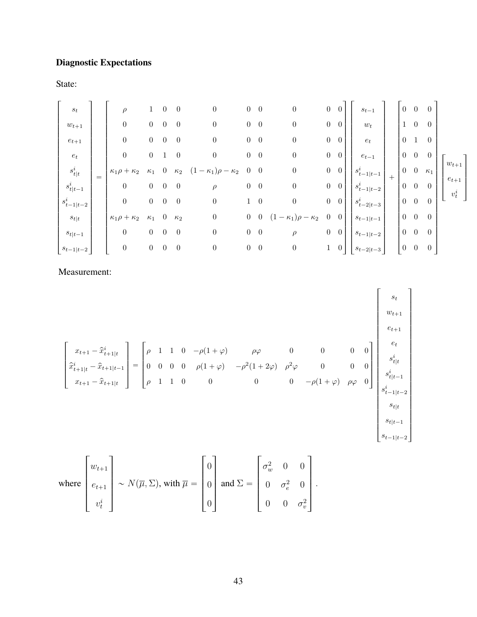# **Diagnostic Expectations**

State:

| $\boldsymbol{s}_t$<br>$w_{t+1}$<br>$e_{t+1}$<br>$\boldsymbol{e}_t$<br>$s^i_{t\mid t}$<br>$s_{t t-1}^i$<br>$\boldsymbol{(\}_{t-1 t-2}^i$<br>$s_{t t}$<br>$s_{t t-1}$ | $=$ | $\rho$<br>$\boldsymbol{0}$<br>$\boldsymbol{0}$<br>$\boldsymbol{0}$<br>$\kappa_1 \rho + \kappa_2$<br>$\boldsymbol{0}$<br>$\boldsymbol{0}$<br>$\kappa_1\rho+\kappa_2$<br>$\boldsymbol{0}$ | $\overline{0}$<br>$\overline{0}$<br>$\boldsymbol{0}$<br>$\kappa_1$<br>$\overline{0}$<br>$\overline{0}$<br>$\kappa_1$<br>$\overline{0}$ | $\theta$<br>$\overline{0}$<br>$\overline{0}$<br>$\overline{0}$<br>$\overline{0}$<br>$\overline{0}$<br>$\theta$<br>$\overline{0}$ | $\overline{0}$<br>$\overline{0}$<br>$\overline{0}$<br>$\overline{0}$<br>$\kappa_2$<br>$\overline{0}$<br>$\overline{0}$<br>$\kappa_2$<br>$\overline{0}$ | $\boldsymbol{0}$<br>$\boldsymbol{0}$<br>$\boldsymbol{0}$<br>$\boldsymbol{0}$<br>$-\kappa_1$ ) $\rho-\kappa_2$<br>$\rho$<br>$\boldsymbol{0}$<br>$\boldsymbol{0}$<br>$\boldsymbol{0}$ | $\overline{0}$<br>$\overline{0}$<br>$\overline{0}$<br>$\overline{0}$<br>$\overline{0}$<br>$\overline{0}$<br>$\overline{0}$ | $\overline{0}$<br>$\overline{0}$<br>$\overline{0}$<br>$\overline{0}$<br>$\overline{0}$<br>$\overline{0}$<br>$1 \quad 0$<br>$\bf{0}$<br>$0\quad 0\quad$ | $\boldsymbol{0}$<br>$\boldsymbol{0}$<br>$\boldsymbol{0}$<br>$\boldsymbol{0}$<br>$\boldsymbol{0}$<br>$\boldsymbol{0}$<br>$\overline{0}$<br>$\kappa_2$<br>$\rho$ | $\overline{0}$<br>$\overline{0}$<br>$\boldsymbol{0}$<br>$\overline{0}$<br>$\overline{0}$<br>$\overline{0}$ | $\overline{0}$<br>$\overline{0}$<br>$\overline{0}$<br>$\overline{0}$<br>$0\quad 0\quad$<br>$0 \quad 0$<br>$0\quad 0\quad$<br>$\overline{0}$<br>$\overline{0}$ | $s_{t-1}$<br>$w_t$<br>$e_t$<br>$e_{t-1}$<br>$s_{t-1 t-1}^{i}$<br>$s_{t-1 t-2}^{i}$<br>$s_{t-2 t-3}^i$<br>$s_{t-1\mid t-1}$<br>$s_{t-1 t-2}$ | $+$ | $\theta$<br>$(1 -$<br>$\overline{0}$<br>$0\quad 0$<br>$0 \quad 0$<br>$\overline{0}$<br>$0 \quad 0$<br>$0 \quad 0$<br>$0 \quad 0$ | $\overline{0}$<br>$\overline{0}$<br>$\mathbf{1}$<br>$\overline{0}$ | 0<br>$\overline{0}$<br>$\overline{0}$<br>$\overline{0}$<br>$\kappa_1$<br>$\overline{0}$<br>$\overline{0}$<br>$\overline{0}$<br>$\theta$ | $w_{t+1}$<br>$e_{t+1}$<br>$v_t^i$ |
|---------------------------------------------------------------------------------------------------------------------------------------------------------------------|-----|-----------------------------------------------------------------------------------------------------------------------------------------------------------------------------------------|----------------------------------------------------------------------------------------------------------------------------------------|----------------------------------------------------------------------------------------------------------------------------------|--------------------------------------------------------------------------------------------------------------------------------------------------------|-------------------------------------------------------------------------------------------------------------------------------------------------------------------------------------|----------------------------------------------------------------------------------------------------------------------------|--------------------------------------------------------------------------------------------------------------------------------------------------------|----------------------------------------------------------------------------------------------------------------------------------------------------------------|------------------------------------------------------------------------------------------------------------|---------------------------------------------------------------------------------------------------------------------------------------------------------------|---------------------------------------------------------------------------------------------------------------------------------------------|-----|----------------------------------------------------------------------------------------------------------------------------------|--------------------------------------------------------------------|-----------------------------------------------------------------------------------------------------------------------------------------|-----------------------------------|
| $s_{t-1 t-2}$                                                                                                                                                       |     | $\boldsymbol{0}$                                                                                                                                                                        | $\boldsymbol{0}$                                                                                                                       | $\overline{0}$                                                                                                                   | $\overline{0}$                                                                                                                                         | $\boldsymbol{0}$                                                                                                                                                                    | $\boldsymbol{0}$                                                                                                           | $\overline{0}$                                                                                                                                         | $\boldsymbol{0}$                                                                                                                                               |                                                                                                            | $1\quad 0$                                                                                                                                                    | $s_{t-2 t-3}$                                                                                                                               |     | $\boldsymbol{0}$                                                                                                                 | $\overline{0}$                                                     | $\overline{0}$                                                                                                                          |                                   |

Measurement:

$$
\begin{bmatrix}\nx_{t+1} - \hat{x}_{t+1|t}^i \\
\hat{x}_{t+1|t}^i - \hat{x}_{t+1|t-1}^i \\
x_{t+1} - \hat{x}_{t+1|t}^i\n\end{bmatrix} = \begin{bmatrix}\n\rho & 1 & 1 & 0 & -\rho(1+\varphi) & \rho\varphi & 0 & 0 & 0 \\
0 & 0 & 0 & \rho(1+\varphi) & -\rho^2(1+2\varphi) & \rho^2\varphi & 0 & 0 & 0 \\
\rho & 1 & 1 & 0 & 0 & 0 & -\rho(1+\varphi) & \rho\varphi & 0\n\end{bmatrix} \begin{bmatrix}\ns_t \\
y_{t+1} \\
s_t^i \\
s_{t|t-1} \\
s_{t+1} \\
s_{t|t-1} \\
s_{t|t-1} \\
s_{t|t-1} \\
s_{t-1|t-2}\n\end{bmatrix}
$$

where 
$$
\begin{bmatrix} w_{t+1} \\ e_{t+1} \\ v_t^i \end{bmatrix} \sim N(\overline{\mu}, \Sigma), \text{ with } \overline{\mu} = \begin{bmatrix} 0 \\ 0 \\ 0 \end{bmatrix} \text{ and } \Sigma = \begin{bmatrix} \sigma_w^2 & 0 & 0 \\ 0 & \sigma_e^2 & 0 \\ 0 & 0 & \sigma_v^2 \end{bmatrix}.
$$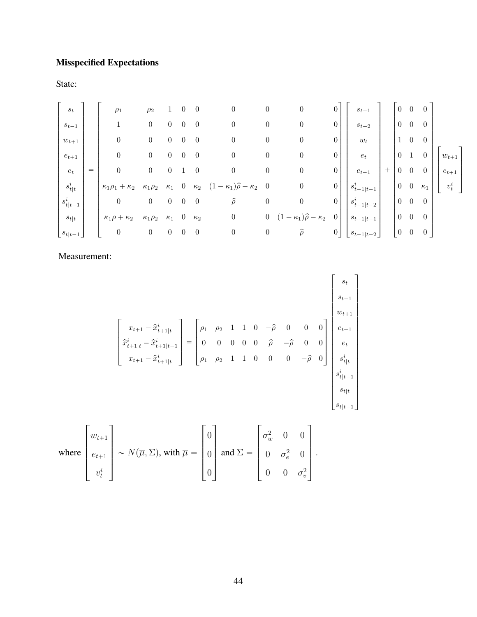## **Misspecified Expectations**

State:

| $\boldsymbol{s}_t$<br>$s_{t-1}$<br>$w_{t+1}$<br>$e_{t+1}$                                          |     | $\rho_1$<br>$\mathbf{1}$<br>$\boldsymbol{0}$<br>$\boldsymbol{0}$                                                    | $\rho_2$<br>$\overline{0}$<br>$\overline{0}$<br>$\overline{0}$                             | $\boldsymbol{0}$<br>$\overline{0}$<br>$\overline{0}$                     | $\theta$<br>$\theta$<br>$\overline{0}$<br>$\overline{0}$ | $\theta$<br>$\overline{0}$<br>$\overline{0}$<br>$\overline{0}$   | $\boldsymbol{0}$<br>$\boldsymbol{0}$<br>$\boldsymbol{0}$<br>$\boldsymbol{0}$                                                   | $\boldsymbol{0}$<br>$\boldsymbol{0}$<br>$\boldsymbol{0}$<br>$\boldsymbol{0}$ | $\boldsymbol{0}$<br>$\boldsymbol{0}$<br>$\boldsymbol{0}$<br>$\boldsymbol{0}$                                      | $\theta$<br>$\boldsymbol{0}$<br>$\boldsymbol{0}$<br>$\overline{0}$                             | $\boldsymbol{s}_{t-1}$<br>$s_{t-2}$<br>$\boldsymbol{w}_t$<br>$e_t$                                  |        | $\theta$<br>$\boldsymbol{0}$<br>$\mathbf{1}$<br>$\boldsymbol{0}$                                 | $\theta$<br>$\overline{0}$<br>$\overline{0}$<br>$\mathbf{1}$                                   | $\theta$<br>$\overline{0}$<br>$\overline{0}$                                 | $w_{t+1}$            |  |
|----------------------------------------------------------------------------------------------------|-----|---------------------------------------------------------------------------------------------------------------------|--------------------------------------------------------------------------------------------|--------------------------------------------------------------------------|----------------------------------------------------------|------------------------------------------------------------------|--------------------------------------------------------------------------------------------------------------------------------|------------------------------------------------------------------------------|-------------------------------------------------------------------------------------------------------------------|------------------------------------------------------------------------------------------------|-----------------------------------------------------------------------------------------------------|--------|--------------------------------------------------------------------------------------------------|------------------------------------------------------------------------------------------------|------------------------------------------------------------------------------|----------------------|--|
| $\boldsymbol{e}_t$<br>$s^i_{t\mid t}$<br>$s_{t t-1}^i$<br>$s_{t t}$<br>$\lfloor s_{t t-1} \rfloor$ | $=$ | $\boldsymbol{0}$<br>$\kappa_1\rho_1+\kappa_2$<br>$\boldsymbol{0}$<br>$\kappa_1 \rho + \kappa_2$<br>$\boldsymbol{0}$ | $\overline{0}$<br>$\kappa_1\rho_2$<br>$\overline{0}$<br>$\kappa_1\rho_2$<br>$\overline{0}$ | $\overline{0}$<br>$\kappa_1$<br>$0 \quad 0$<br>$\kappa_1$<br>$0 \quad 0$ | $\overline{0}$<br>$\overline{0}$                         | $\overline{0}$<br>$\overline{0}$<br>$\kappa_2$<br>$\overline{0}$ | $\boldsymbol{0}$<br>$\kappa_2$ $(1-\kappa_1)\hat{\rho}-\kappa_2$ 0<br>$\widehat{\rho}$<br>$\boldsymbol{0}$<br>$\boldsymbol{0}$ | $\boldsymbol{0}$<br>$\boldsymbol{0}$<br>$\overline{0}$<br>$\boldsymbol{0}$   | $\boldsymbol{0}$<br>$\boldsymbol{0}$<br>$\boldsymbol{0}$<br>$(1 - \kappa_1)\hat{\rho} - \kappa_2$<br>$\hat{\rho}$ | $\overline{0}$<br>$\overline{0}$<br>$\boldsymbol{0}$<br>$\overline{0}$<br>$\mathbf{0}_{\perp}$ | $e_{t-1}$<br>$s_{t-1 t-1}^i$<br>$s_{t-1 t-2}^{i}$<br>$s_{t-1 t-1}$<br>$\lfloor s_{t-1 t-2} \rfloor$ | $^{+}$ | $\boldsymbol{0}$<br>$\boldsymbol{0}$<br>$\boldsymbol{0}$<br>$\boldsymbol{0}$<br>$\boldsymbol{0}$ | $\boldsymbol{0}$<br>$\boldsymbol{0}$<br>$\overline{0}$<br>$\boldsymbol{0}$<br>$\boldsymbol{0}$ | $\overline{0}$<br>$\kappa_1$<br>$\overline{0}$<br>$\theta$<br>$\overline{0}$ | $e_{t+1}$<br>$v_t^i$ |  |

Measurement:

$$
\begin{bmatrix}\nx_{t+1} - \hat{x}_{t+1|t}^{i} \\
\hat{x}_{t+1|t}^{i} - \hat{x}_{t+1|t-1}^{i} \\
x_{t+1} - \hat{x}_{t+1|t}^{i}\n\end{bmatrix} =\n\begin{bmatrix}\n\rho_1 & \rho_2 & 1 & 1 & 0 & -\hat{\rho} & 0 & 0 & 0 \\
0 & 0 & 0 & 0 & \hat{\rho} & -\hat{\rho} & 0 & 0 \\
\rho_1 & \rho_2 & 1 & 1 & 0 & 0 & 0 & -\hat{\rho} & 0\n\end{bmatrix}\n\begin{bmatrix}\ns_t \\
e_{t+1} \\
e_t \\
e_t \\
s_{t|t-1} \\
s_{t|t-1} \\
s_{t|t-1} \\
s_{t|t-1}\n\end{bmatrix}
$$
\nF\n

where 
$$
\begin{bmatrix} w_{t+1} \\ e_{t+1} \\ v_t^i \end{bmatrix} \sim N(\overline{\mu}, \Sigma)
$$
, with  $\overline{\mu} = \begin{bmatrix} 0 \\ 0 \\ 0 \end{bmatrix}$  and  $\Sigma = \begin{bmatrix} \sigma_w^2 & 0 & 0 \\ 0 & \sigma_e^2 & 0 \\ 0 & 0 & \sigma_v^2 \end{bmatrix}$ .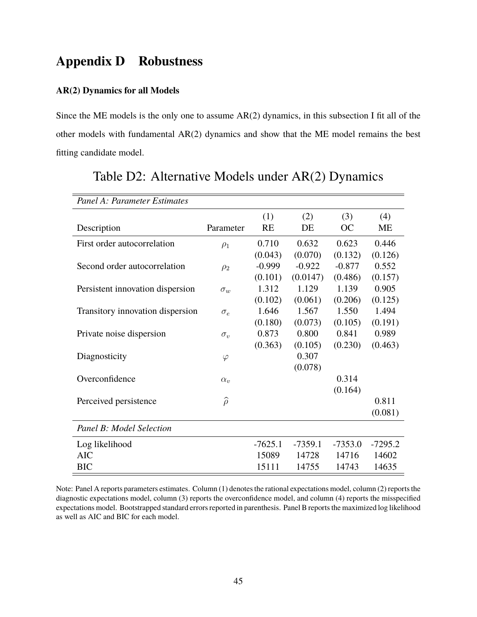## **Appendix D Robustness**

#### **AR(2) Dynamics for all Models**

Since the ME models is the only one to assume AR(2) dynamics, in this subsection I fit all of the other models with fundamental AR(2) dynamics and show that the ME model remains the best fitting candidate model.

| Panel A: Parameter Estimates     |                  |           |           |           |           |
|----------------------------------|------------------|-----------|-----------|-----------|-----------|
|                                  |                  | (1)       | (2)       | (3)       | (4)       |
| Description                      | Parameter        | RE        | DE        | OC        | МE        |
| First order autocorrelation      | $\rho_1$         | 0.710     | 0.632     | 0.623     | 0.446     |
|                                  |                  | (0.043)   | (0.070)   | (0.132)   | (0.126)   |
| Second order autocorrelation     | $\rho_2$         | $-0.999$  | $-0.922$  | $-0.877$  | 0.552     |
|                                  |                  | (0.101)   | (0.0147)  | (0.486)   | (0.157)   |
| Persistent innovation dispersion | $\sigma_w$       | 1.312     | 1.129     | 1.139     | 0.905     |
|                                  |                  | (0.102)   | (0.061)   | (0.206)   | (0.125)   |
| Transitory innovation dispersion | $\sigma_e$       | 1.646     | 1.567     | 1.550     | 1.494     |
|                                  |                  | (0.180)   | (0.073)   | (0.105)   | (0.191)   |
| Private noise dispersion         | $\sigma_{v}$     | 0.873     | 0.800     | 0.841     | 0.989     |
|                                  |                  | (0.363)   | (0.105)   | (0.230)   | (0.463)   |
| Diagnosticity                    | $\varphi$        |           | 0.307     |           |           |
|                                  |                  |           | (0.078)   |           |           |
| Overconfidence                   | $\alpha_{v}$     |           |           | 0.314     |           |
|                                  |                  |           |           | (0.164)   |           |
| Perceived persistence            | $\widehat{\rho}$ |           |           |           | 0.811     |
|                                  |                  |           |           |           | (0.081)   |
| Panel B: Model Selection         |                  |           |           |           |           |
| Log likelihood                   |                  | $-7625.1$ | $-7359.1$ | $-7353.0$ | $-7295.2$ |
| <b>AIC</b>                       |                  | 15089     | 14728     | 14716     | 14602     |
| <b>BIC</b>                       |                  | 15111     | 14755     | 14743     | 14635     |

### Table D2: Alternative Models under AR(2) Dynamics

Note: Panel A reports parameters estimates. Column (1) denotes the rational expectations model, column (2) reports the diagnostic expectations model, column (3) reports the overconfidence model, and column (4) reports the misspecified expectations model. Bootstrapped standard errors reported in parenthesis. Panel B reports the maximized log likelihood as well as AIC and BIC for each model.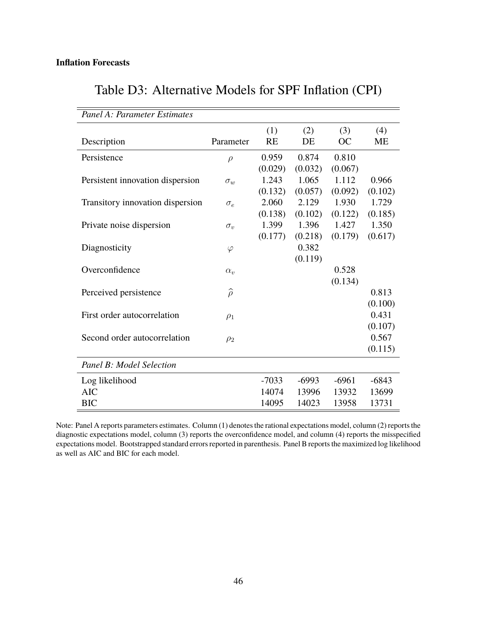<span id="page-45-0"></span> $\overline{\phantom{a}}$ 

| Panel A: Parameter Estimates     |                  |           |         |           |           |
|----------------------------------|------------------|-----------|---------|-----------|-----------|
|                                  |                  | (1)       | (2)     | (3)       | (4)       |
| Description                      | Parameter        | <b>RE</b> | DE      | <b>OC</b> | <b>ME</b> |
| Persistence                      | $\rho$           | 0.959     | 0.874   | 0.810     |           |
|                                  |                  | (0.029)   | (0.032) | (0.067)   |           |
| Persistent innovation dispersion | $\sigma_w$       | 1.243     | 1.065   | 1.112     | 0.966     |
|                                  |                  | (0.132)   | (0.057) | (0.092)   | (0.102)   |
| Transitory innovation dispersion | $\sigma_e$       | 2.060     | 2.129   | 1.930     | 1.729     |
|                                  |                  | (0.138)   | (0.102) | (0.122)   | (0.185)   |
| Private noise dispersion         | $\sigma_v$       | 1.399     | 1.396   | 1.427     | 1.350     |
|                                  |                  | (0.177)   | (0.218) | (0.179)   | (0.617)   |
| Diagnosticity                    | $\varphi$        |           | 0.382   |           |           |
|                                  |                  |           | (0.119) |           |           |
| Overconfidence                   | $\alpha_{v}$     |           |         | 0.528     |           |
|                                  |                  |           |         | (0.134)   |           |
| Perceived persistence            | $\widehat{\rho}$ |           |         |           | 0.813     |
|                                  |                  |           |         |           | (0.100)   |
| First order autocorrelation      | $\rho_1$         |           |         |           | 0.431     |
|                                  |                  |           |         |           | (0.107)   |
| Second order autocorrelation     | $\rho_2$         |           |         |           | 0.567     |
|                                  |                  |           |         |           | (0.115)   |
| Panel B: Model Selection         |                  |           |         |           |           |
| Log likelihood                   |                  | $-7033$   | $-6993$ | $-6961$   | $-6843$   |
| <b>AIC</b>                       |                  | 14074     | 13996   | 13932     | 13699     |
| <b>BIC</b>                       |                  | 14095     | 14023   | 13958     | 13731     |

# Table D3: Alternative Models for SPF Inflation (CPI)

 $\qquad \qquad$ 

Note: Panel A reports parameters estimates. Column (1) denotes the rational expectations model, column (2) reports the diagnostic expectations model, column (3) reports the overconfidence model, and column (4) reports the misspecified expectations model. Bootstrapped standard errors reported in parenthesis. Panel B reports the maximized log likelihood as well as AIC and BIC for each model.